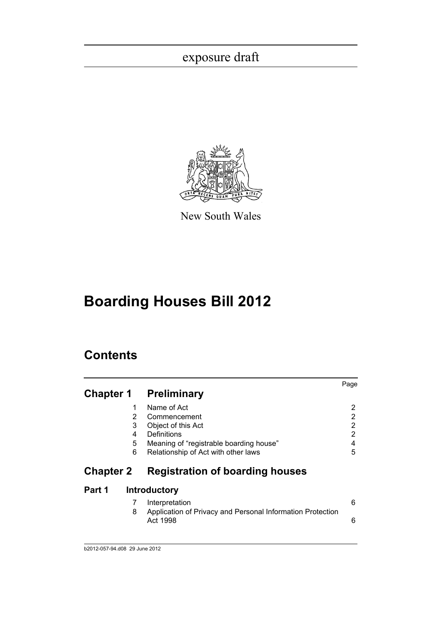

New South Wales

# **Boarding Houses Bill 2012**

# **Contents**

| <b>Chapter 1</b> |                            | Preliminary                                                                                                                                        | Page                                    |
|------------------|----------------------------|----------------------------------------------------------------------------------------------------------------------------------------------------|-----------------------------------------|
|                  | 1<br>2<br>3<br>4<br>5<br>6 | Name of Act<br>Commencement<br>Object of this Act<br>Definitions<br>Meaning of "registrable boarding house"<br>Relationship of Act with other laws | 2<br>2<br>2<br>$\overline{2}$<br>4<br>5 |
| <b>Chapter 2</b> |                            | <b>Registration of boarding houses</b>                                                                                                             |                                         |
| Part 1           |                            | <b>Introductory</b>                                                                                                                                |                                         |
|                  | 8                          | Interpretation<br>Application of Privacy and Personal Information Protection<br>Act 1998                                                           | 6<br>6                                  |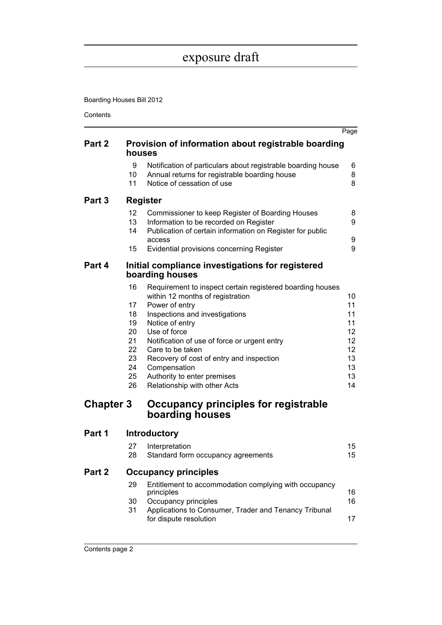Boarding Houses Bill 2012

Contents

|                  |                                                                |                                                                                                                                                                                                                                                                                                                                                                                                                                                | Page                                                           |
|------------------|----------------------------------------------------------------|------------------------------------------------------------------------------------------------------------------------------------------------------------------------------------------------------------------------------------------------------------------------------------------------------------------------------------------------------------------------------------------------------------------------------------------------|----------------------------------------------------------------|
| Part 2           | houses                                                         | Provision of information about registrable boarding                                                                                                                                                                                                                                                                                                                                                                                            |                                                                |
|                  | 9<br>10<br>11                                                  | Notification of particulars about registrable boarding house<br>Annual returns for registrable boarding house<br>Notice of cessation of use                                                                                                                                                                                                                                                                                                    | 6<br>8<br>8                                                    |
| Part 3           |                                                                | <b>Register</b>                                                                                                                                                                                                                                                                                                                                                                                                                                |                                                                |
|                  | 12<br>13<br>14<br>15                                           | Commissioner to keep Register of Boarding Houses<br>Information to be recorded on Register<br>Publication of certain information on Register for public<br>access<br>Evidential provisions concerning Register                                                                                                                                                                                                                                 | 8<br>9<br>9<br>9                                               |
| Part 4           |                                                                |                                                                                                                                                                                                                                                                                                                                                                                                                                                |                                                                |
|                  |                                                                | Initial compliance investigations for registered<br>boarding houses                                                                                                                                                                                                                                                                                                                                                                            |                                                                |
| <b>Chapter 3</b> | 16<br>17<br>18<br>19<br>20<br>21<br>22<br>23<br>24<br>25<br>26 | Requirement to inspect certain registered boarding houses<br>within 12 months of registration<br>Power of entry<br>Inspections and investigations<br>Notice of entry<br>Use of force<br>Notification of use of force or urgent entry<br>Care to be taken<br>Recovery of cost of entry and inspection<br>Compensation<br>Authority to enter premises<br>Relationship with other Acts<br>Occupancy principles for registrable<br>boarding houses | 10<br>11<br>11<br>11<br>12<br>12<br>12<br>13<br>13<br>13<br>14 |
| Part 1           |                                                                | <b>Introductory</b>                                                                                                                                                                                                                                                                                                                                                                                                                            |                                                                |
|                  | 27                                                             | Interpretation                                                                                                                                                                                                                                                                                                                                                                                                                                 | 15                                                             |
|                  | 28                                                             | Standard form occupancy agreements                                                                                                                                                                                                                                                                                                                                                                                                             | 15                                                             |
| Part 2           |                                                                | <b>Occupancy principles</b>                                                                                                                                                                                                                                                                                                                                                                                                                    |                                                                |
|                  | 29<br>30<br>31                                                 | Entitlement to accommodation complying with occupancy<br>principles<br>Occupancy principles<br>Applications to Consumer, Trader and Tenancy Tribunal<br>for dispute resolution                                                                                                                                                                                                                                                                 | 16<br>16<br>17                                                 |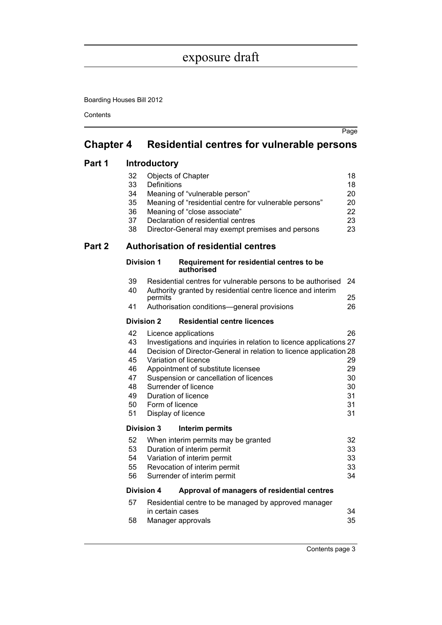Boarding Houses Bill 2012

**Contents** 

| <b>Chapter 4</b> | <b>Residential centres for vulnerable persons</b> |
|------------------|---------------------------------------------------|
|                  |                                                   |

### **[Part 1 Introductory](#page-22-1)**

|        | 32<br>33<br>34<br>35<br>36<br>37<br>38                   | Objects of Chapter<br><b>Definitions</b>                                                                                             | Meaning of "vulnerable person"<br>Meaning of "residential centre for vulnerable persons"<br>Meaning of "close associate"<br>Declaration of residential centres<br>Director-General may exempt premises and persons        | 18<br>18<br>20<br>20<br>22<br>23<br>23       |
|--------|----------------------------------------------------------|--------------------------------------------------------------------------------------------------------------------------------------|---------------------------------------------------------------------------------------------------------------------------------------------------------------------------------------------------------------------------|----------------------------------------------|
| Part 2 |                                                          |                                                                                                                                      | <b>Authorisation of residential centres</b>                                                                                                                                                                               |                                              |
|        | <b>Division 1</b>                                        |                                                                                                                                      | Requirement for residential centres to be<br>authorised                                                                                                                                                                   |                                              |
|        | 39<br>40                                                 |                                                                                                                                      | Residential centres for vulnerable persons to be authorised<br>Authority granted by residential centre licence and interim                                                                                                | 24                                           |
|        | 41                                                       | permits                                                                                                                              | Authorisation conditions-general provisions                                                                                                                                                                               | 25<br>26                                     |
|        | <b>Division 2</b>                                        |                                                                                                                                      | <b>Residential centre licences</b>                                                                                                                                                                                        |                                              |
|        | 42<br>43<br>44<br>45<br>46<br>47<br>48<br>49<br>50<br>51 | Licence applications<br>Variation of licence<br>Surrender of licence<br>Duration of licence<br>Form of licence<br>Display of licence | Investigations and inquiries in relation to licence applications 27<br>Decision of Director-General in relation to licence application 28<br>Appointment of substitute licensee<br>Suspension or cancellation of licences | 26<br>29<br>29<br>30<br>30<br>31<br>31<br>31 |
|        | Division 3                                               |                                                                                                                                      | Interim permits                                                                                                                                                                                                           |                                              |
|        | 52<br>53<br>54<br>55<br>56                               |                                                                                                                                      | When interim permits may be granted<br>Duration of interim permit<br>Variation of interim permit<br>Revocation of interim permit<br>Surrender of interim permit                                                           | 32<br>33<br>33<br>33<br>34                   |
|        | Division 4                                               |                                                                                                                                      | Approval of managers of residential centres                                                                                                                                                                               |                                              |
|        | 57                                                       |                                                                                                                                      | Residential centre to be managed by approved manager                                                                                                                                                                      |                                              |
|        | 58                                                       | in certain cases<br>Manager approvals                                                                                                |                                                                                                                                                                                                                           | 34<br>35                                     |

Page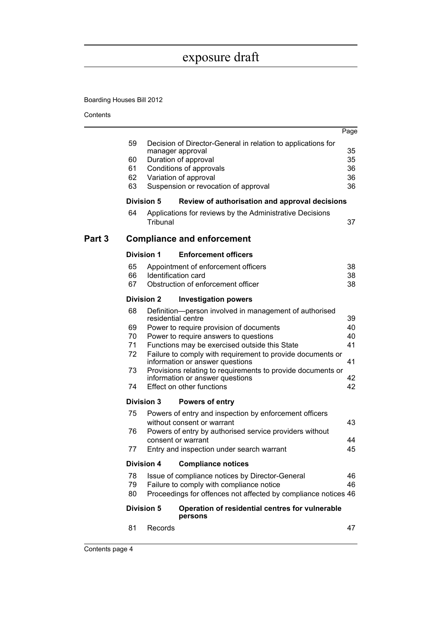Boarding Houses Bill 2012

Contents

|        |          |                    |                                                                                  | Page     |
|--------|----------|--------------------|----------------------------------------------------------------------------------|----------|
|        | 59       |                    | Decision of Director-General in relation to applications for<br>manager approval | 35       |
|        | 60       |                    | Duration of approval                                                             | 35       |
|        | 61       |                    | Conditions of approvals                                                          | 36       |
|        | 62       |                    | Variation of approval                                                            | 36       |
|        | 63       |                    | Suspension or revocation of approval                                             | 36       |
|        |          | <b>Division 5</b>  | Review of authorisation and approval decisions                                   |          |
|        | 64       | Tribunal           | Applications for reviews by the Administrative Decisions                         |          |
|        |          |                    |                                                                                  | 37       |
| Part 3 |          |                    | <b>Compliance and enforcement</b>                                                |          |
|        |          | <b>Division 1</b>  | <b>Enforcement officers</b>                                                      |          |
|        | 65       |                    | Appointment of enforcement officers                                              | 38       |
|        | 66       |                    | Identification card                                                              | 38       |
|        | 67       |                    | Obstruction of enforcement officer                                               | 38       |
|        |          | <b>Division 2</b>  | <b>Investigation powers</b>                                                      |          |
|        | 68       |                    | Definition-person involved in management of authorised                           |          |
|        |          | residential centre |                                                                                  | 39       |
|        | 69<br>70 |                    | Power to require provision of documents<br>Power to require answers to questions | 40<br>40 |
|        | 71       |                    | Functions may be exercised outside this State                                    | 41       |
|        | 72       |                    | Failure to comply with requirement to provide documents or                       |          |
|        |          |                    | information or answer questions                                                  | 41       |
|        | 73       |                    | Provisions relating to requirements to provide documents or                      |          |
|        |          |                    | information or answer questions                                                  | 42       |
|        | 74       |                    | Effect on other functions                                                        | 42       |
|        |          | <b>Division 3</b>  | <b>Powers of entry</b>                                                           |          |
|        | 75       |                    | Powers of entry and inspection by enforcement officers                           |          |
|        |          |                    | without consent or warrant                                                       | 43       |
|        | 76       |                    | Powers of entry by authorised service providers without                          |          |
|        |          |                    | consent or warrant                                                               | 44       |
|        | 77       |                    | Entry and inspection under search warrant                                        | 45       |
|        |          | <b>Division 4</b>  | <b>Compliance notices</b>                                                        |          |
|        | 78       |                    | Issue of compliance notices by Director-General                                  | 46       |
|        | 79       |                    | Failure to comply with compliance notice                                         | 46       |
|        | 80       |                    | Proceedings for offences not affected by compliance notices 46                   |          |
|        |          | <b>Division 5</b>  | Operation of residential centres for vulnerable<br>persons                       |          |
|        | 81       | Records            |                                                                                  | 47       |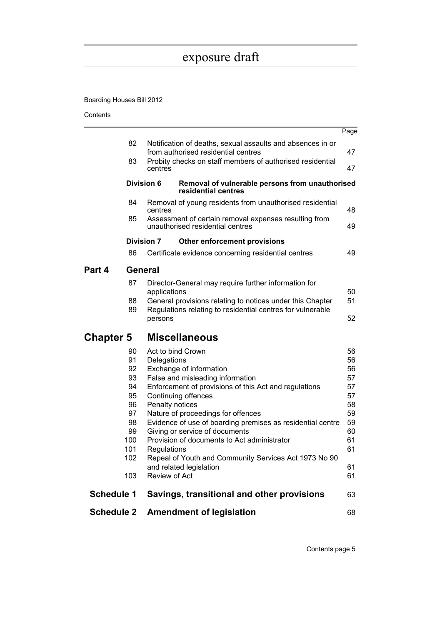Boarding Houses Bill 2012

Contents

| 82<br>Notification of deaths, sexual assaults and absences in or<br>from authorised residential centres<br>47<br>83<br>Probity checks on staff members of authorised residential<br>47<br>centres<br><b>Division 6</b><br>Removal of vulnerable persons from unauthorised<br>residential centres<br>84<br>Removal of young residents from unauthorised residential<br>48<br>centres<br>85<br>Assessment of certain removal expenses resulting from<br>unauthorised residential centres<br>49<br><b>Division 7</b><br>Other enforcement provisions<br>86<br>49<br>Certificate evidence concerning residential centres<br>General<br>Part 4<br>87<br>Director-General may require further information for<br>50<br>applications<br>51<br>88<br>General provisions relating to notices under this Chapter<br>89<br>Regulations relating to residential centres for vulnerable<br>52<br>persons<br><b>Miscellaneous</b><br><b>Chapter 5</b><br>56<br>90<br>Act to bind Crown<br>91<br>Delegations<br>56<br>92<br>56<br>Exchange of information<br>93<br>False and misleading information<br>57<br>94<br>Enforcement of provisions of this Act and regulations<br>57<br>95<br>Continuing offences<br>57<br>96<br>Penalty notices<br>58<br>97<br>59<br>Nature of proceedings for offences<br>98<br>59<br>Evidence of use of boarding premises as residential centre<br>99<br>Giving or service of documents<br>60<br>Provision of documents to Act administrator<br>100<br>61<br>101<br>61<br>Regulations<br>Repeal of Youth and Community Services Act 1973 No 90<br>102<br>and related legislation<br>61<br>Review of Act<br>103<br>61<br><b>Schedule 1</b><br>Savings, transitional and other provisions<br>63 | <b>Schedule 2</b> |  | <b>Amendment of legislation</b> | 68   |
|-------------------------------------------------------------------------------------------------------------------------------------------------------------------------------------------------------------------------------------------------------------------------------------------------------------------------------------------------------------------------------------------------------------------------------------------------------------------------------------------------------------------------------------------------------------------------------------------------------------------------------------------------------------------------------------------------------------------------------------------------------------------------------------------------------------------------------------------------------------------------------------------------------------------------------------------------------------------------------------------------------------------------------------------------------------------------------------------------------------------------------------------------------------------------------------------------------------------------------------------------------------------------------------------------------------------------------------------------------------------------------------------------------------------------------------------------------------------------------------------------------------------------------------------------------------------------------------------------------------------------------------------------------------------------------------------------------------|-------------------|--|---------------------------------|------|
|                                                                                                                                                                                                                                                                                                                                                                                                                                                                                                                                                                                                                                                                                                                                                                                                                                                                                                                                                                                                                                                                                                                                                                                                                                                                                                                                                                                                                                                                                                                                                                                                                                                                                                             |                   |  |                                 |      |
|                                                                                                                                                                                                                                                                                                                                                                                                                                                                                                                                                                                                                                                                                                                                                                                                                                                                                                                                                                                                                                                                                                                                                                                                                                                                                                                                                                                                                                                                                                                                                                                                                                                                                                             |                   |  |                                 |      |
|                                                                                                                                                                                                                                                                                                                                                                                                                                                                                                                                                                                                                                                                                                                                                                                                                                                                                                                                                                                                                                                                                                                                                                                                                                                                                                                                                                                                                                                                                                                                                                                                                                                                                                             |                   |  |                                 |      |
|                                                                                                                                                                                                                                                                                                                                                                                                                                                                                                                                                                                                                                                                                                                                                                                                                                                                                                                                                                                                                                                                                                                                                                                                                                                                                                                                                                                                                                                                                                                                                                                                                                                                                                             |                   |  |                                 |      |
|                                                                                                                                                                                                                                                                                                                                                                                                                                                                                                                                                                                                                                                                                                                                                                                                                                                                                                                                                                                                                                                                                                                                                                                                                                                                                                                                                                                                                                                                                                                                                                                                                                                                                                             |                   |  |                                 |      |
|                                                                                                                                                                                                                                                                                                                                                                                                                                                                                                                                                                                                                                                                                                                                                                                                                                                                                                                                                                                                                                                                                                                                                                                                                                                                                                                                                                                                                                                                                                                                                                                                                                                                                                             |                   |  |                                 |      |
|                                                                                                                                                                                                                                                                                                                                                                                                                                                                                                                                                                                                                                                                                                                                                                                                                                                                                                                                                                                                                                                                                                                                                                                                                                                                                                                                                                                                                                                                                                                                                                                                                                                                                                             |                   |  |                                 |      |
|                                                                                                                                                                                                                                                                                                                                                                                                                                                                                                                                                                                                                                                                                                                                                                                                                                                                                                                                                                                                                                                                                                                                                                                                                                                                                                                                                                                                                                                                                                                                                                                                                                                                                                             |                   |  |                                 |      |
|                                                                                                                                                                                                                                                                                                                                                                                                                                                                                                                                                                                                                                                                                                                                                                                                                                                                                                                                                                                                                                                                                                                                                                                                                                                                                                                                                                                                                                                                                                                                                                                                                                                                                                             |                   |  |                                 |      |
|                                                                                                                                                                                                                                                                                                                                                                                                                                                                                                                                                                                                                                                                                                                                                                                                                                                                                                                                                                                                                                                                                                                                                                                                                                                                                                                                                                                                                                                                                                                                                                                                                                                                                                             |                   |  |                                 |      |
|                                                                                                                                                                                                                                                                                                                                                                                                                                                                                                                                                                                                                                                                                                                                                                                                                                                                                                                                                                                                                                                                                                                                                                                                                                                                                                                                                                                                                                                                                                                                                                                                                                                                                                             |                   |  |                                 |      |
|                                                                                                                                                                                                                                                                                                                                                                                                                                                                                                                                                                                                                                                                                                                                                                                                                                                                                                                                                                                                                                                                                                                                                                                                                                                                                                                                                                                                                                                                                                                                                                                                                                                                                                             |                   |  |                                 |      |
|                                                                                                                                                                                                                                                                                                                                                                                                                                                                                                                                                                                                                                                                                                                                                                                                                                                                                                                                                                                                                                                                                                                                                                                                                                                                                                                                                                                                                                                                                                                                                                                                                                                                                                             |                   |  |                                 |      |
|                                                                                                                                                                                                                                                                                                                                                                                                                                                                                                                                                                                                                                                                                                                                                                                                                                                                                                                                                                                                                                                                                                                                                                                                                                                                                                                                                                                                                                                                                                                                                                                                                                                                                                             |                   |  |                                 |      |
|                                                                                                                                                                                                                                                                                                                                                                                                                                                                                                                                                                                                                                                                                                                                                                                                                                                                                                                                                                                                                                                                                                                                                                                                                                                                                                                                                                                                                                                                                                                                                                                                                                                                                                             |                   |  |                                 |      |
|                                                                                                                                                                                                                                                                                                                                                                                                                                                                                                                                                                                                                                                                                                                                                                                                                                                                                                                                                                                                                                                                                                                                                                                                                                                                                                                                                                                                                                                                                                                                                                                                                                                                                                             |                   |  |                                 |      |
|                                                                                                                                                                                                                                                                                                                                                                                                                                                                                                                                                                                                                                                                                                                                                                                                                                                                                                                                                                                                                                                                                                                                                                                                                                                                                                                                                                                                                                                                                                                                                                                                                                                                                                             |                   |  |                                 |      |
|                                                                                                                                                                                                                                                                                                                                                                                                                                                                                                                                                                                                                                                                                                                                                                                                                                                                                                                                                                                                                                                                                                                                                                                                                                                                                                                                                                                                                                                                                                                                                                                                                                                                                                             |                   |  |                                 |      |
|                                                                                                                                                                                                                                                                                                                                                                                                                                                                                                                                                                                                                                                                                                                                                                                                                                                                                                                                                                                                                                                                                                                                                                                                                                                                                                                                                                                                                                                                                                                                                                                                                                                                                                             |                   |  |                                 |      |
|                                                                                                                                                                                                                                                                                                                                                                                                                                                                                                                                                                                                                                                                                                                                                                                                                                                                                                                                                                                                                                                                                                                                                                                                                                                                                                                                                                                                                                                                                                                                                                                                                                                                                                             |                   |  |                                 |      |
|                                                                                                                                                                                                                                                                                                                                                                                                                                                                                                                                                                                                                                                                                                                                                                                                                                                                                                                                                                                                                                                                                                                                                                                                                                                                                                                                                                                                                                                                                                                                                                                                                                                                                                             |                   |  |                                 |      |
|                                                                                                                                                                                                                                                                                                                                                                                                                                                                                                                                                                                                                                                                                                                                                                                                                                                                                                                                                                                                                                                                                                                                                                                                                                                                                                                                                                                                                                                                                                                                                                                                                                                                                                             |                   |  |                                 |      |
|                                                                                                                                                                                                                                                                                                                                                                                                                                                                                                                                                                                                                                                                                                                                                                                                                                                                                                                                                                                                                                                                                                                                                                                                                                                                                                                                                                                                                                                                                                                                                                                                                                                                                                             |                   |  |                                 |      |
|                                                                                                                                                                                                                                                                                                                                                                                                                                                                                                                                                                                                                                                                                                                                                                                                                                                                                                                                                                                                                                                                                                                                                                                                                                                                                                                                                                                                                                                                                                                                                                                                                                                                                                             |                   |  |                                 |      |
|                                                                                                                                                                                                                                                                                                                                                                                                                                                                                                                                                                                                                                                                                                                                                                                                                                                                                                                                                                                                                                                                                                                                                                                                                                                                                                                                                                                                                                                                                                                                                                                                                                                                                                             |                   |  |                                 |      |
|                                                                                                                                                                                                                                                                                                                                                                                                                                                                                                                                                                                                                                                                                                                                                                                                                                                                                                                                                                                                                                                                                                                                                                                                                                                                                                                                                                                                                                                                                                                                                                                                                                                                                                             |                   |  |                                 |      |
|                                                                                                                                                                                                                                                                                                                                                                                                                                                                                                                                                                                                                                                                                                                                                                                                                                                                                                                                                                                                                                                                                                                                                                                                                                                                                                                                                                                                                                                                                                                                                                                                                                                                                                             |                   |  |                                 |      |
|                                                                                                                                                                                                                                                                                                                                                                                                                                                                                                                                                                                                                                                                                                                                                                                                                                                                                                                                                                                                                                                                                                                                                                                                                                                                                                                                                                                                                                                                                                                                                                                                                                                                                                             |                   |  |                                 |      |
|                                                                                                                                                                                                                                                                                                                                                                                                                                                                                                                                                                                                                                                                                                                                                                                                                                                                                                                                                                                                                                                                                                                                                                                                                                                                                                                                                                                                                                                                                                                                                                                                                                                                                                             |                   |  |                                 | Page |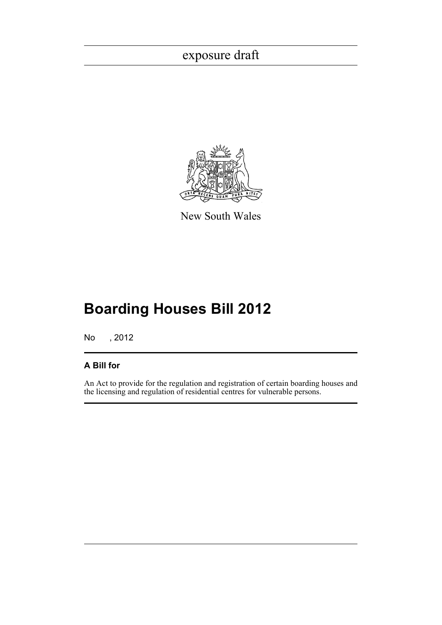

New South Wales

# **Boarding Houses Bill 2012**

No , 2012

### **A Bill for**

An Act to provide for the regulation and registration of certain boarding houses and the licensing and regulation of residential centres for vulnerable persons.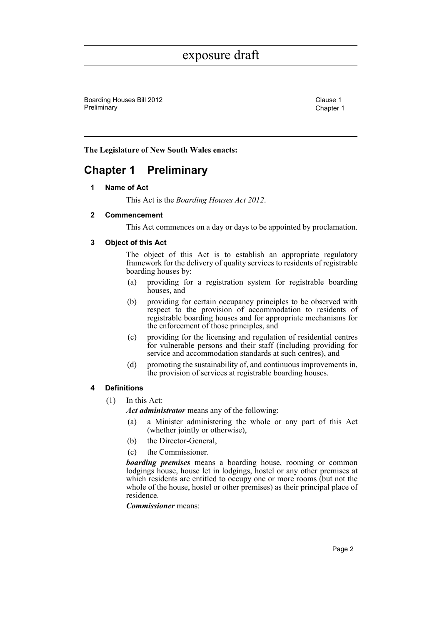Boarding Houses Bill 2012 Clause 1 Preliminary **Chapter 1** 

**The Legislature of New South Wales enacts:**

### <span id="page-6-1"></span><span id="page-6-0"></span>**Chapter 1 Preliminary**

#### **1 Name of Act**

This Act is the *Boarding Houses Act 2012*.

#### <span id="page-6-2"></span>**2 Commencement**

This Act commences on a day or days to be appointed by proclamation.

#### <span id="page-6-3"></span>**3 Object of this Act**

The object of this Act is to establish an appropriate regulatory framework for the delivery of quality services to residents of registrable boarding houses by:

- (a) providing for a registration system for registrable boarding houses, and
- (b) providing for certain occupancy principles to be observed with respect to the provision of accommodation to residents of registrable boarding houses and for appropriate mechanisms for the enforcement of those principles, and
- (c) providing for the licensing and regulation of residential centres for vulnerable persons and their staff (including providing for service and accommodation standards at such centres), and
- (d) promoting the sustainability of, and continuous improvements in, the provision of services at registrable boarding houses.

#### <span id="page-6-4"></span>**4 Definitions**

(1) In this Act:

*Act administrator* means any of the following:

- (a) a Minister administering the whole or any part of this Act (whether jointly or otherwise),
- (b) the Director-General,
- (c) the Commissioner.

*boarding premises* means a boarding house, rooming or common lodgings house, house let in lodgings, hostel or any other premises at which residents are entitled to occupy one or more rooms (but not the whole of the house, hostel or other premises) as their principal place of residence.

*Commissioner* means: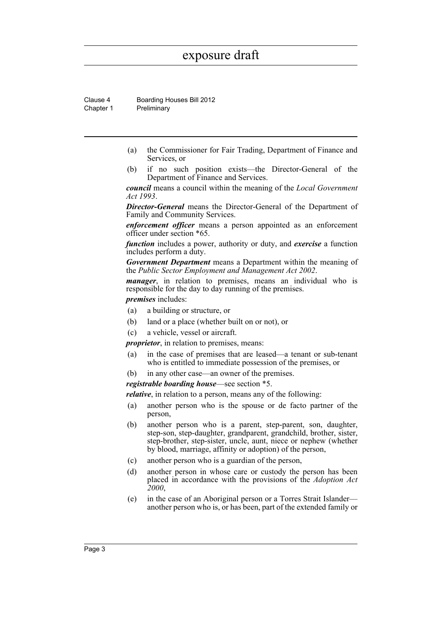Clause 4 Boarding Houses Bill 2012 Chapter 1 Preliminary

- (a) the Commissioner for Fair Trading, Department of Finance and Services, or
- (b) if no such position exists—the Director-General of the Department of Finance and Services.

*council* means a council within the meaning of the *Local Government Act 1993*.

*Director-General* means the Director-General of the Department of Family and Community Services.

*enforcement officer* means a person appointed as an enforcement officer under section \*65.

*function* includes a power, authority or duty, and *exercise* a function includes perform a duty.

*Government Department* means a Department within the meaning of the *Public Sector Employment and Management Act 2002*.

*manager*, in relation to premises, means an individual who is responsible for the day to day running of the premises.

*premises* includes:

- (a) a building or structure, or
- (b) land or a place (whether built on or not), or
- (c) a vehicle, vessel or aircraft.

*proprietor*, in relation to premises, means:

- (a) in the case of premises that are leased—a tenant or sub-tenant who is entitled to immediate possession of the premises, or
- (b) in any other case—an owner of the premises.

#### *registrable boarding house*—see section \*5.

*relative*, in relation to a person, means any of the following:

- (a) another person who is the spouse or de facto partner of the person,
- (b) another person who is a parent, step-parent, son, daughter, step-son, step-daughter, grandparent, grandchild, brother, sister, step-brother, step-sister, uncle, aunt, niece or nephew (whether by blood, marriage, affinity or adoption) of the person,
- (c) another person who is a guardian of the person,
- (d) another person in whose care or custody the person has been placed in accordance with the provisions of the *Adoption Act 2000*,
- (e) in the case of an Aboriginal person or a Torres Strait Islander another person who is, or has been, part of the extended family or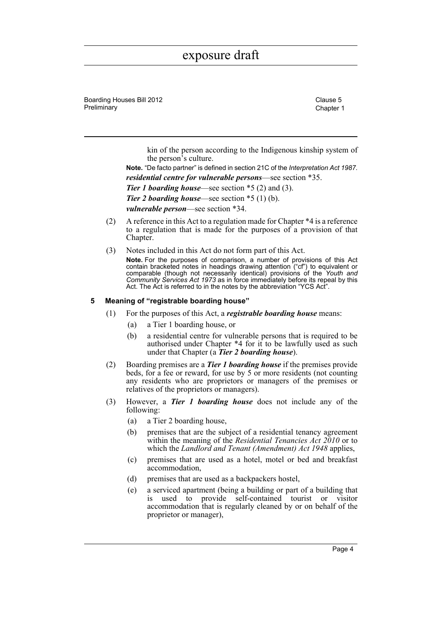Boarding Houses Bill 2012 Clause 5 Preliminary **Chapter 1** 

kin of the person according to the Indigenous kinship system of the person's culture.

**Note.** "De facto partner" is defined in section 21C of the *Interpretation Act 1987*. *residential centre for vulnerable persons*—see section \*35. *Tier 1 boarding house*—see section \*5 (2) and (3). *Tier 2 boarding house*—see section \*5 (1) (b). *vulnerable person*—see section \*34.

- (2) A reference in this Act to a regulation made for Chapter \*4 is a reference to a regulation that is made for the purposes of a provision of that Chapter.
- (3) Notes included in this Act do not form part of this Act. **Note.** For the purposes of comparison, a number of provisions of this Act contain bracketed notes in headings drawing attention ("cf") to equivalent or comparable (though not necessarily identical) provisions of the *Youth and Community Services Act 1973* as in force immediately before its repeal by this Act. The Act is referred to in the notes by the abbreviation "YCS Act".

#### <span id="page-8-0"></span>**5 Meaning of "registrable boarding house"**

- (1) For the purposes of this Act, a *registrable boarding house* means:
	- (a) a Tier 1 boarding house, or
	- (b) a residential centre for vulnerable persons that is required to be authorised under Chapter \*4 for it to be lawfully used as such under that Chapter (a *Tier 2 boarding house*).
- (2) Boarding premises are a *Tier 1 boarding house* if the premises provide beds, for a fee or reward, for use by 5 or more residents (not counting any residents who are proprietors or managers of the premises or relatives of the proprietors or managers).
- (3) However, a *Tier 1 boarding house* does not include any of the following:
	- (a) a Tier 2 boarding house,
	- (b) premises that are the subject of a residential tenancy agreement within the meaning of the *Residential Tenancies Act 2010* or to which the *Landlord and Tenant (Amendment) Act 1948* applies,
	- (c) premises that are used as a hotel, motel or bed and breakfast accommodation,
	- (d) premises that are used as a backpackers hostel,
	- (e) a serviced apartment (being a building or part of a building that is used to provide self-contained tourist or visitor accommodation that is regularly cleaned by or on behalf of the proprietor or manager),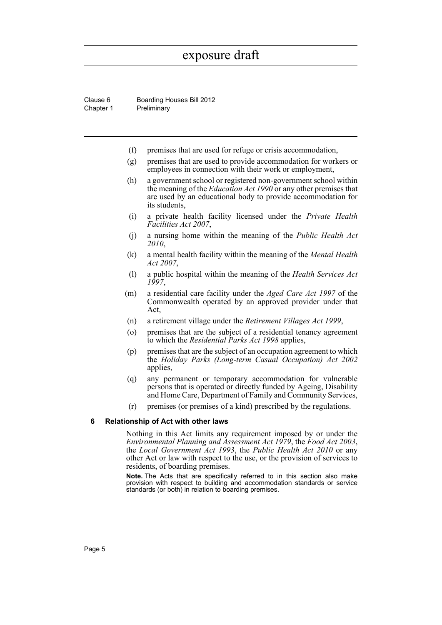Clause 6 Boarding Houses Bill 2012 Chapter 1 Preliminary

- (f) premises that are used for refuge or crisis accommodation,
- (g) premises that are used to provide accommodation for workers or employees in connection with their work or employment,
- (h) a government school or registered non-government school within the meaning of the *Education Act 1990* or any other premises that are used by an educational body to provide accommodation for its students,
- (i) a private health facility licensed under the *Private Health Facilities Act 2007*,
- (j) a nursing home within the meaning of the *Public Health Act 2010*,
- (k) a mental health facility within the meaning of the *Mental Health Act 2007*,
- (l) a public hospital within the meaning of the *Health Services Act 1997*,
- (m) a residential care facility under the *Aged Care Act 1997* of the Commonwealth operated by an approved provider under that Act,
- (n) a retirement village under the *Retirement Villages Act 1999*,
- (o) premises that are the subject of a residential tenancy agreement to which the *Residential Parks Act 1998* applies,
- (p) premises that are the subject of an occupation agreement to which the *Holiday Parks (Long-term Casual Occupation) Act 2002* applies,
- (q) any permanent or temporary accommodation for vulnerable persons that is operated or directly funded by Ageing, Disability and Home Care, Department of Family and Community Services,
- (r) premises (or premises of a kind) prescribed by the regulations.

#### <span id="page-9-0"></span>**6 Relationship of Act with other laws**

Nothing in this Act limits any requirement imposed by or under the *Environmental Planning and Assessment Act 1979*, the *Food Act 2003*, the *Local Government Act 1993*, the *Public Health Act 2010* or any other Act or law with respect to the use, or the provision of services to residents, of boarding premises.

**Note.** The Acts that are specifically referred to in this section also make provision with respect to building and accommodation standards or service standards (or both) in relation to boarding premises.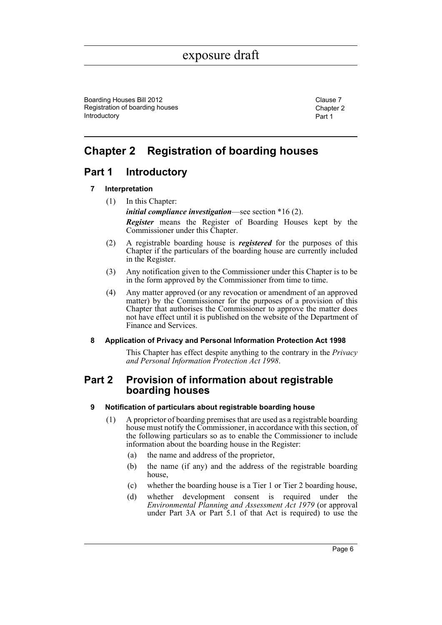Boarding Houses Bill 2012 Clause 7 No. 2014 Registration of boarding houses Introductory

Chapter 2 Part 1

## <span id="page-10-0"></span>**Chapter 2 Registration of boarding houses**

### <span id="page-10-2"></span><span id="page-10-1"></span>**Part 1 Introductory**

#### **7 Interpretation**

- (1) In this Chapter: *initial compliance investigation*—see section \*16 (2). *Register* means the Register of Boarding Houses kept by the Commissioner under this Chapter.
- (2) A registrable boarding house is *registered* for the purposes of this Chapter if the particulars of the boarding house are currently included in the Register.
- (3) Any notification given to the Commissioner under this Chapter is to be in the form approved by the Commissioner from time to time.
- (4) Any matter approved (or any revocation or amendment of an approved matter) by the Commissioner for the purposes of a provision of this Chapter that authorises the Commissioner to approve the matter does not have effect until it is published on the website of the Department of Finance and Services.

#### <span id="page-10-3"></span>**8 Application of Privacy and Personal Information Protection Act 1998**

This Chapter has effect despite anything to the contrary in the *Privacy and Personal Information Protection Act 1998*.

### <span id="page-10-4"></span>**Part 2 Provision of information about registrable boarding houses**

#### <span id="page-10-5"></span>**9 Notification of particulars about registrable boarding house**

- (1) A proprietor of boarding premises that are used as a registrable boarding house must notify the Commissioner, in accordance with this section, of the following particulars so as to enable the Commissioner to include information about the boarding house in the Register:
	- (a) the name and address of the proprietor,
	- (b) the name (if any) and the address of the registrable boarding house,
	- (c) whether the boarding house is a Tier 1 or Tier 2 boarding house,
	- (d) whether development consent is required under the *Environmental Planning and Assessment Act 1979* (or approval under Part 3A or Part 5.1 of that Act is required) to use the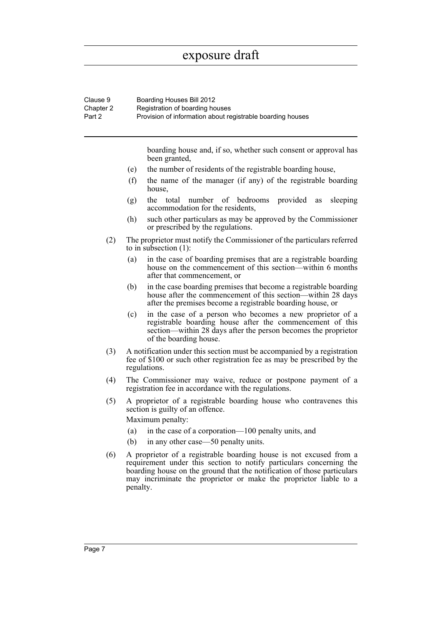| Clause 9<br>Chapter 2<br>Part 2 | Boarding Houses Bill 2012<br>Registration of boarding houses<br>Provision of information about registrable boarding houses                                                                                                                                                                            |  |  |  |
|---------------------------------|-------------------------------------------------------------------------------------------------------------------------------------------------------------------------------------------------------------------------------------------------------------------------------------------------------|--|--|--|
|                                 | boarding house and, if so, whether such consent or approval has<br>been granted,                                                                                                                                                                                                                      |  |  |  |
|                                 | the number of residents of the registrable boarding house,<br>(e)                                                                                                                                                                                                                                     |  |  |  |
|                                 | (f)<br>the name of the manager (if any) of the registrable boarding<br>house,                                                                                                                                                                                                                         |  |  |  |
|                                 | the total<br>provided<br>number of bedrooms<br>sleeping<br>(g)<br>as<br>accommodation for the residents,                                                                                                                                                                                              |  |  |  |
|                                 | (h)<br>such other particulars as may be approved by the Commissioner<br>or prescribed by the regulations.                                                                                                                                                                                             |  |  |  |
| (2)                             | The proprietor must notify the Commissioner of the particulars referred<br>to in subsection $(1)$ :                                                                                                                                                                                                   |  |  |  |
|                                 | in the case of boarding premises that are a registrable boarding<br>(a)<br>house on the commencement of this section—within 6 months<br>after that commencement, or                                                                                                                                   |  |  |  |
|                                 | in the case boarding premises that become a registrable boarding<br>(b)<br>house after the commencement of this section—within 28 days<br>after the premises become a registrable boarding house, or                                                                                                  |  |  |  |
|                                 | in the case of a person who becomes a new proprietor of a<br>(c)<br>registrable boarding house after the commencement of this<br>section—within 28 days after the person becomes the proprietor<br>of the boarding house.                                                                             |  |  |  |
| (3)                             | A notification under this section must be accompanied by a registration<br>fee of \$100 or such other registration fee as may be prescribed by the<br>regulations.                                                                                                                                    |  |  |  |
| (4)                             | The Commissioner may waive, reduce or postpone payment of a<br>registration fee in accordance with the regulations.                                                                                                                                                                                   |  |  |  |
| (5)                             | A proprietor of a registrable boarding house who contravenes this<br>section is guilty of an offence.<br>Maximum penalty:                                                                                                                                                                             |  |  |  |
|                                 | in the case of a corporation—100 penalty units, and<br>(a)                                                                                                                                                                                                                                            |  |  |  |
|                                 | in any other case—50 penalty units.<br>(b)                                                                                                                                                                                                                                                            |  |  |  |
| (6)                             | A proprietor of a registrable boarding house is not excused from a<br>requirement under this section to notify particulars concerning the<br>boarding house on the ground that the notification of those particulars<br>may incriminate the proprietor or make the proprietor liable to a<br>penalty. |  |  |  |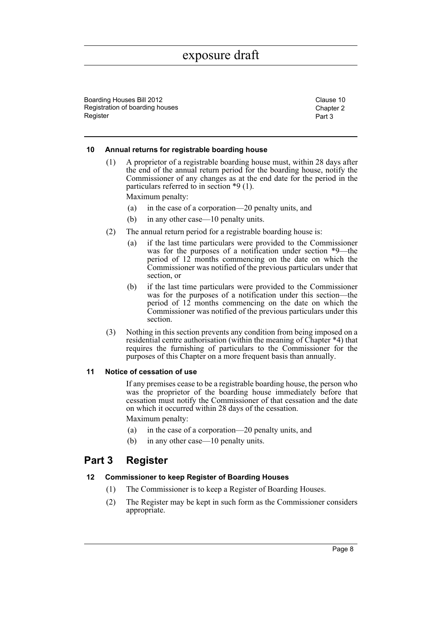Boarding Houses Bill 2012 Clause 10 Registration of boarding houses Register

Chapter 2 Part 3

#### <span id="page-12-0"></span>**10 Annual returns for registrable boarding house**

(1) A proprietor of a registrable boarding house must, within 28 days after the end of the annual return period for the boarding house, notify the Commissioner of any changes as at the end date for the period in the particulars referred to in section \*9 (1).

Maximum penalty:

- (a) in the case of a corporation—20 penalty units, and
- (b) in any other case—10 penalty units.
- (2) The annual return period for a registrable boarding house is:
	- (a) if the last time particulars were provided to the Commissioner was for the purposes of a notification under section \*9—the period of 12 months commencing on the date on which the Commissioner was notified of the previous particulars under that section, or
	- (b) if the last time particulars were provided to the Commissioner was for the purposes of a notification under this section—the period of 12 months commencing on the date on which the Commissioner was notified of the previous particulars under this section.
- (3) Nothing in this section prevents any condition from being imposed on a residential centre authorisation (within the meaning of Chapter \*4) that requires the furnishing of particulars to the Commissioner for the purposes of this Chapter on a more frequent basis than annually.

#### <span id="page-12-1"></span>**11 Notice of cessation of use**

If any premises cease to be a registrable boarding house, the person who was the proprietor of the boarding house immediately before that cessation must notify the Commissioner of that cessation and the date on which it occurred within 28 days of the cessation.

Maximum penalty:

- (a) in the case of a corporation—20 penalty units, and
- (b) in any other case—10 penalty units.

### <span id="page-12-2"></span>**Part 3 Register**

#### <span id="page-12-3"></span>**12 Commissioner to keep Register of Boarding Houses**

- (1) The Commissioner is to keep a Register of Boarding Houses.
- (2) The Register may be kept in such form as the Commissioner considers appropriate.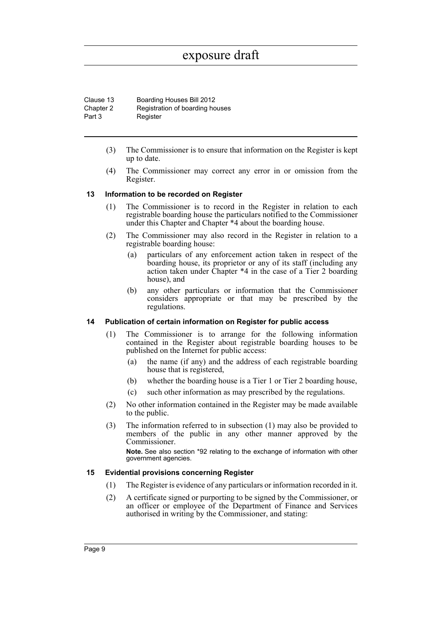| Clause 13 | Boarding Houses Bill 2012       |
|-----------|---------------------------------|
| Chapter 2 | Registration of boarding houses |
| Part 3    | Register                        |

- (3) The Commissioner is to ensure that information on the Register is kept up to date.
- (4) The Commissioner may correct any error in or omission from the Register.

#### <span id="page-13-0"></span>**13 Information to be recorded on Register**

- (1) The Commissioner is to record in the Register in relation to each registrable boarding house the particulars notified to the Commissioner under this Chapter and Chapter \*4 about the boarding house.
- (2) The Commissioner may also record in the Register in relation to a registrable boarding house:
	- (a) particulars of any enforcement action taken in respect of the boarding house, its proprietor or any of its staff (including any action taken under Chapter \*4 in the case of a Tier 2 boarding house), and
	- (b) any other particulars or information that the Commissioner considers appropriate or that may be prescribed by the regulations.

#### <span id="page-13-1"></span>**14 Publication of certain information on Register for public access**

- (1) The Commissioner is to arrange for the following information contained in the Register about registrable boarding houses to be published on the Internet for public access:
	- (a) the name (if any) and the address of each registrable boarding house that is registered,
	- (b) whether the boarding house is a Tier 1 or Tier 2 boarding house,
	- (c) such other information as may prescribed by the regulations.
- (2) No other information contained in the Register may be made available to the public.
- (3) The information referred to in subsection (1) may also be provided to members of the public in any other manner approved by the Commissioner.

**Note.** See also section \*92 relating to the exchange of information with other government agencies.

#### <span id="page-13-2"></span>**15 Evidential provisions concerning Register**

- (1) The Register is evidence of any particulars or information recorded in it.
- (2) A certificate signed or purporting to be signed by the Commissioner, or an officer or employee of the Department of Finance and Services authorised in writing by the Commissioner, and stating: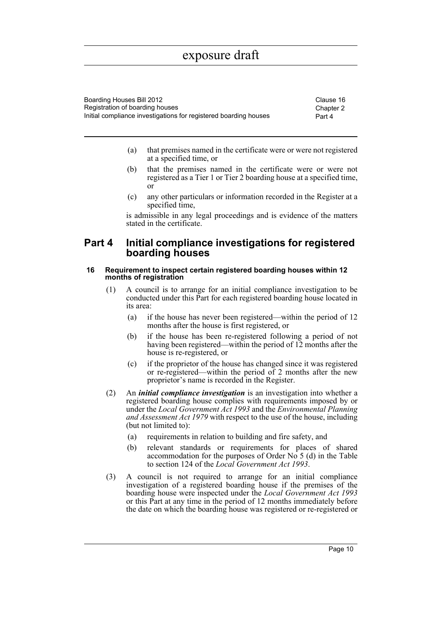| Boarding Houses Bill 2012                                        | Clause 16 |
|------------------------------------------------------------------|-----------|
| Registration of boarding houses                                  | Chapter 2 |
| Initial compliance investigations for registered boarding houses | Part 4    |

- (a) that premises named in the certificate were or were not registered at a specified time, or
- (b) that the premises named in the certificate were or were not registered as a Tier 1 or Tier 2 boarding house at a specified time, or
- (c) any other particulars or information recorded in the Register at a specified time,

is admissible in any legal proceedings and is evidence of the matters stated in the certificate.

### <span id="page-14-0"></span>**Part 4 Initial compliance investigations for registered boarding houses**

#### <span id="page-14-1"></span>**16 Requirement to inspect certain registered boarding houses within 12 months of registration**

- (1) A council is to arrange for an initial compliance investigation to be conducted under this Part for each registered boarding house located in its area:
	- (a) if the house has never been registered—within the period of 12 months after the house is first registered, or
	- (b) if the house has been re-registered following a period of not having been registered—within the period of 12 months after the house is re-registered, or
	- (c) if the proprietor of the house has changed since it was registered or re-registered—within the period of 2 months after the new proprietor's name is recorded in the Register.
- (2) An *initial compliance investigation* is an investigation into whether a registered boarding house complies with requirements imposed by or under the *Local Government Act 1993* and the *Environmental Planning and Assessment Act 1979* with respect to the use of the house, including (but not limited to):
	- (a) requirements in relation to building and fire safety, and
	- (b) relevant standards or requirements for places of shared accommodation for the purposes of Order No 5 (d) in the Table to section 124 of the *Local Government Act 1993*.
- (3) A council is not required to arrange for an initial compliance investigation of a registered boarding house if the premises of the boarding house were inspected under the *Local Government Act 1993* or this Part at any time in the period of 12 months immediately before the date on which the boarding house was registered or re-registered or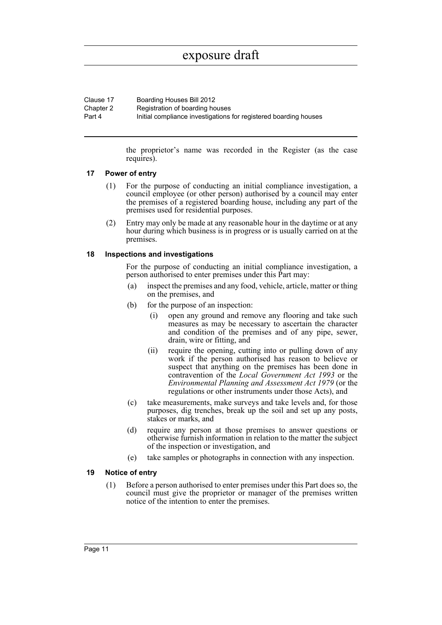| Clause 17 | Boarding Houses Bill 2012                                        |
|-----------|------------------------------------------------------------------|
| Chapter 2 | Registration of boarding houses                                  |
| Part 4    | Initial compliance investigations for registered boarding houses |

the proprietor's name was recorded in the Register (as the case requires).

#### <span id="page-15-0"></span>**17 Power of entry**

- (1) For the purpose of conducting an initial compliance investigation, a council employee (or other person) authorised by a council may enter the premises of a registered boarding house, including any part of the premises used for residential purposes.
- (2) Entry may only be made at any reasonable hour in the daytime or at any hour during which business is in progress or is usually carried on at the premises.

#### <span id="page-15-1"></span>**18 Inspections and investigations**

For the purpose of conducting an initial compliance investigation, a person authorised to enter premises under this Part may:

- (a) inspect the premises and any food, vehicle, article, matter or thing on the premises, and
- (b) for the purpose of an inspection:
	- (i) open any ground and remove any flooring and take such measures as may be necessary to ascertain the character and condition of the premises and of any pipe, sewer, drain, wire or fitting, and
	- (ii) require the opening, cutting into or pulling down of any work if the person authorised has reason to believe or suspect that anything on the premises has been done in contravention of the *Local Government Act 1993* or the *Environmental Planning and Assessment Act 1979* (or the regulations or other instruments under those Acts), and
- (c) take measurements, make surveys and take levels and, for those purposes, dig trenches, break up the soil and set up any posts, stakes or marks, and
- (d) require any person at those premises to answer questions or otherwise furnish information in relation to the matter the subject of the inspection or investigation, and
- (e) take samples or photographs in connection with any inspection.

#### <span id="page-15-2"></span>**19 Notice of entry**

(1) Before a person authorised to enter premises under this Part does so, the council must give the proprietor or manager of the premises written notice of the intention to enter the premises.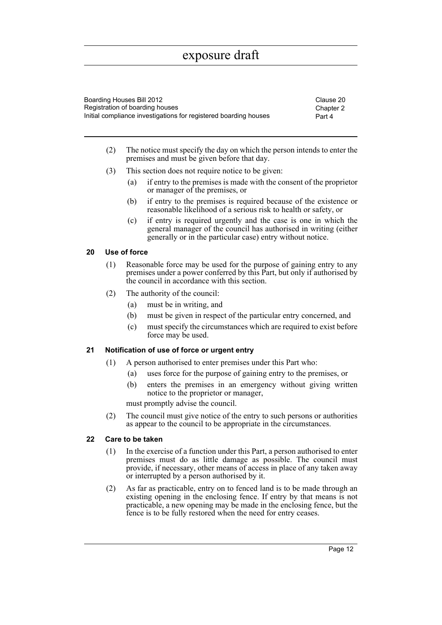Boarding Houses Bill 2012 Clause 20 Registration of boarding houses Initial compliance investigations for registered boarding houses

Chapter 2 Part 4

- (2) The notice must specify the day on which the person intends to enter the premises and must be given before that day.
- (3) This section does not require notice to be given:
	- (a) if entry to the premises is made with the consent of the proprietor or manager of the premises, or
	- (b) if entry to the premises is required because of the existence or reasonable likelihood of a serious risk to health or safety, or
	- (c) if entry is required urgently and the case is one in which the general manager of the council has authorised in writing (either generally or in the particular case) entry without notice.

#### <span id="page-16-0"></span>**20 Use of force**

- (1) Reasonable force may be used for the purpose of gaining entry to any premises under a power conferred by this Part, but only if authorised by the council in accordance with this section.
- (2) The authority of the council:
	- (a) must be in writing, and
	- (b) must be given in respect of the particular entry concerned, and
	- (c) must specify the circumstances which are required to exist before force may be used.

#### <span id="page-16-1"></span>**21 Notification of use of force or urgent entry**

- (1) A person authorised to enter premises under this Part who:
	- (a) uses force for the purpose of gaining entry to the premises, or
	- (b) enters the premises in an emergency without giving written notice to the proprietor or manager,

must promptly advise the council.

(2) The council must give notice of the entry to such persons or authorities as appear to the council to be appropriate in the circumstances.

#### <span id="page-16-2"></span>**22 Care to be taken**

- (1) In the exercise of a function under this Part, a person authorised to enter premises must do as little damage as possible. The council must provide, if necessary, other means of access in place of any taken away or interrupted by a person authorised by it.
- (2) As far as practicable, entry on to fenced land is to be made through an existing opening in the enclosing fence. If entry by that means is not practicable, a new opening may be made in the enclosing fence, but the fence is to be fully restored when the need for entry ceases.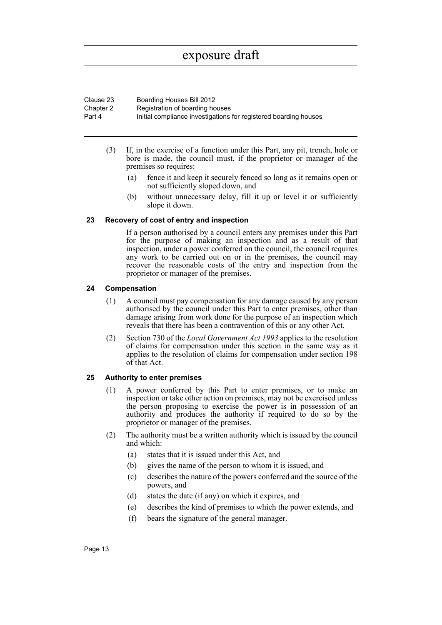| Clause 23 | Boarding Houses Bill 2012                                        |
|-----------|------------------------------------------------------------------|
| Chapter 2 | Registration of boarding houses                                  |
| Part 4    | Initial compliance investigations for registered boarding houses |

- (3) If, in the exercise of a function under this Part, any pit, trench, hole or bore is made, the council must, if the proprietor or manager of the premises so requires:
	- (a) fence it and keep it securely fenced so long as it remains open or not sufficiently sloped down, and
	- (b) without unnecessary delay, fill it up or level it or sufficiently slope it down.

#### <span id="page-17-0"></span>**23 Recovery of cost of entry and inspection**

If a person authorised by a council enters any premises under this Part for the purpose of making an inspection and as a result of that inspection, under a power conferred on the council, the council requires any work to be carried out on or in the premises, the council may recover the reasonable costs of the entry and inspection from the proprietor or manager of the premises.

#### <span id="page-17-1"></span>**24 Compensation**

- (1) A council must pay compensation for any damage caused by any person authorised by the council under this Part to enter premises, other than damage arising from work done for the purpose of an inspection which reveals that there has been a contravention of this or any other Act.
- (2) Section 730 of the *Local Government Act 1993* applies to the resolution of claims for compensation under this section in the same way as it applies to the resolution of claims for compensation under section 198 of that Act.

#### <span id="page-17-2"></span>**25 Authority to enter premises**

- (1) A power conferred by this Part to enter premises, or to make an inspection or take other action on premises, may not be exercised unless the person proposing to exercise the power is in possession of an authority and produces the authority if required to do so by the proprietor or manager of the premises.
- (2) The authority must be a written authority which is issued by the council and which:
	- (a) states that it is issued under this Act, and
	- (b) gives the name of the person to whom it is issued, and
	- (c) describes the nature of the powers conferred and the source of the powers, and
	- (d) states the date (if any) on which it expires, and
	- (e) describes the kind of premises to which the power extends, and
	- (f) bears the signature of the general manager.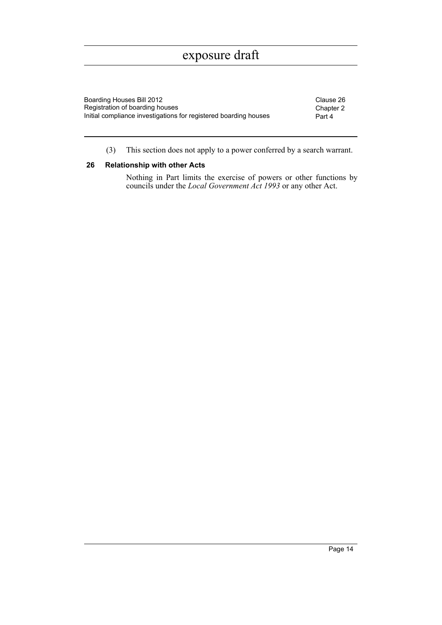| Boarding Houses Bill 2012                                        | Clause 26 |
|------------------------------------------------------------------|-----------|
| Registration of boarding houses                                  | Chapter 2 |
| Initial compliance investigations for registered boarding houses | Part 4    |

(3) This section does not apply to a power conferred by a search warrant.

#### <span id="page-18-0"></span>**26 Relationship with other Acts**

Nothing in Part limits the exercise of powers or other functions by councils under the *Local Government Act 1993* or any other Act.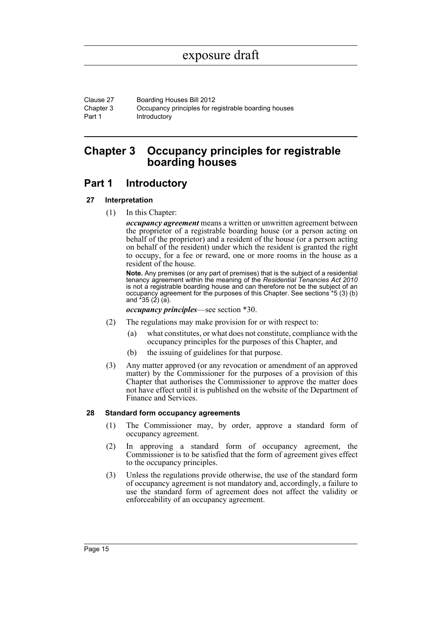Clause 27 Boarding Houses Bill 2012 Chapter 3 Part 1 Occupancy principles for registrable boarding houses Introductory

### <span id="page-19-0"></span>**Chapter 3 Occupancy principles for registrable boarding houses**

### <span id="page-19-1"></span>**Part 1 Introductory**

#### <span id="page-19-2"></span>**27 Interpretation**

(1) In this Chapter:

*occupancy agreement* means a written or unwritten agreement between the proprietor of a registrable boarding house (or a person acting on behalf of the proprietor) and a resident of the house (or a person acting on behalf of the resident) under which the resident is granted the right to occupy, for a fee or reward, one or more rooms in the house as a resident of the house.

**Note.** Any premises (or any part of premises) that is the subject of a residential tenancy agreement within the meaning of the *Residential Tenancies Act 2010* is not a registrable boarding house and can therefore not be the subject of an occupancy agreement for the purposes of this Chapter. See sections \*5 (3) (b) and  $*35(2)(5)$ .

*occupancy principles*—see section \*30.

- (2) The regulations may make provision for or with respect to:
	- (a) what constitutes, or what does not constitute, compliance with the occupancy principles for the purposes of this Chapter, and
	- (b) the issuing of guidelines for that purpose.
- (3) Any matter approved (or any revocation or amendment of an approved matter) by the Commissioner for the purposes of a provision of this Chapter that authorises the Commissioner to approve the matter does not have effect until it is published on the website of the Department of Finance and Services.

#### <span id="page-19-3"></span>**28 Standard form occupancy agreements**

- (1) The Commissioner may, by order, approve a standard form of occupancy agreement.
- (2) In approving a standard form of occupancy agreement, the Commissioner is to be satisfied that the form of agreement gives effect to the occupancy principles.
- (3) Unless the regulations provide otherwise, the use of the standard form of occupancy agreement is not mandatory and, accordingly, a failure to use the standard form of agreement does not affect the validity or enforceability of an occupancy agreement.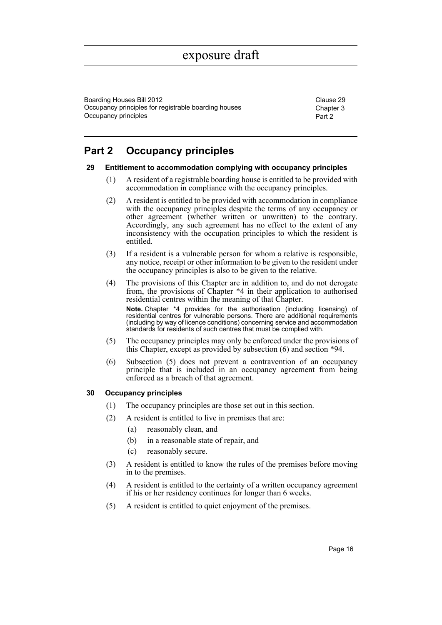Boarding Houses Bill 2012 Clause 29 Occupancy principles for registrable boarding houses Occupancy principles

Chapter 3 Part 2

### <span id="page-20-0"></span>**Part 2 Occupancy principles**

#### <span id="page-20-1"></span>**29 Entitlement to accommodation complying with occupancy principles**

- (1) A resident of a registrable boarding house is entitled to be provided with accommodation in compliance with the occupancy principles.
- (2) A resident is entitled to be provided with accommodation in compliance with the occupancy principles despite the terms of any occupancy or other agreement (whether written or unwritten) to the contrary. Accordingly, any such agreement has no effect to the extent of any inconsistency with the occupation principles to which the resident is entitled.
- (3) If a resident is a vulnerable person for whom a relative is responsible, any notice, receipt or other information to be given to the resident under the occupancy principles is also to be given to the relative.
- (4) The provisions of this Chapter are in addition to, and do not derogate from, the provisions of Chapter \*4 in their application to authorised residential centres within the meaning of that Chapter. **Note.** Chapter \*4 provides for the authorisation (including licensing) of residential centres for vulnerable persons. There are additional requirements (including by way of licence conditions) concerning service and accommodation standards for residents of such centres that must be complied with.
- (5) The occupancy principles may only be enforced under the provisions of this Chapter, except as provided by subsection (6) and section \*94.
- (6) Subsection (5) does not prevent a contravention of an occupancy principle that is included in an occupancy agreement from being enforced as a breach of that agreement.

#### <span id="page-20-2"></span>**30 Occupancy principles**

- (1) The occupancy principles are those set out in this section.
- (2) A resident is entitled to live in premises that are:
	- (a) reasonably clean, and
	- (b) in a reasonable state of repair, and
	- (c) reasonably secure.
- (3) A resident is entitled to know the rules of the premises before moving in to the premises.
- (4) A resident is entitled to the certainty of a written occupancy agreement if his or her residency continues for longer than 6 weeks.
- (5) A resident is entitled to quiet enjoyment of the premises.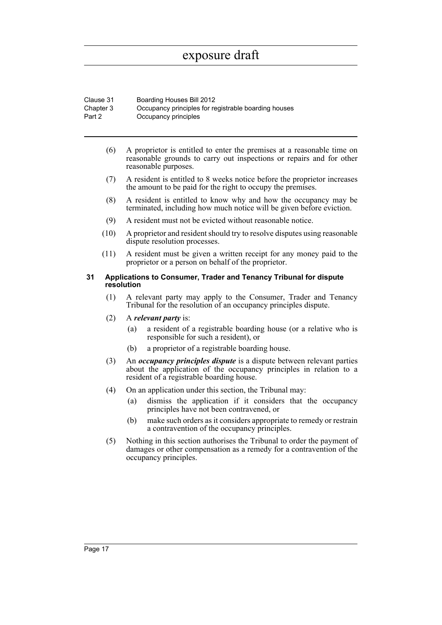| Clause 31 | Boarding Houses Bill 2012                            |
|-----------|------------------------------------------------------|
| Chapter 3 | Occupancy principles for registrable boarding houses |
| Part 2    | Occupancy principles                                 |

- (6) A proprietor is entitled to enter the premises at a reasonable time on reasonable grounds to carry out inspections or repairs and for other reasonable purposes.
- (7) A resident is entitled to 8 weeks notice before the proprietor increases the amount to be paid for the right to occupy the premises.
- (8) A resident is entitled to know why and how the occupancy may be terminated, including how much notice will be given before eviction.
- (9) A resident must not be evicted without reasonable notice.
- (10) A proprietor and resident should try to resolve disputes using reasonable dispute resolution processes.
- (11) A resident must be given a written receipt for any money paid to the proprietor or a person on behalf of the proprietor.

#### <span id="page-21-0"></span>**31 Applications to Consumer, Trader and Tenancy Tribunal for dispute resolution**

- (1) A relevant party may apply to the Consumer, Trader and Tenancy Tribunal for the resolution of an occupancy principles dispute.
- (2) A *relevant party* is:
	- (a) a resident of a registrable boarding house (or a relative who is responsible for such a resident), or
	- (b) a proprietor of a registrable boarding house.
- (3) An *occupancy principles dispute* is a dispute between relevant parties about the application of the occupancy principles in relation to a resident of a registrable boarding house.
- (4) On an application under this section, the Tribunal may:
	- (a) dismiss the application if it considers that the occupancy principles have not been contravened, or
	- (b) make such orders as it considers appropriate to remedy or restrain a contravention of the occupancy principles.
- (5) Nothing in this section authorises the Tribunal to order the payment of damages or other compensation as a remedy for a contravention of the occupancy principles.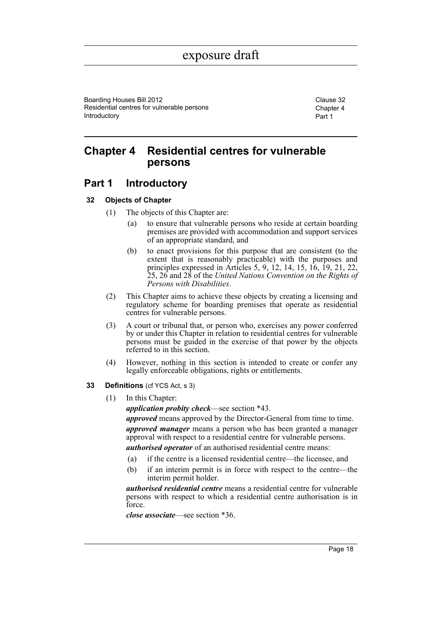Boarding Houses Bill 2012 Clause 32 Residential centres for vulnerable persons Introductory

Chapter 4 Part 1

### <span id="page-22-0"></span>**Chapter 4 Residential centres for vulnerable persons**

### <span id="page-22-1"></span>**Part 1 Introductory**

#### <span id="page-22-2"></span>**32 Objects of Chapter**

- (1) The objects of this Chapter are:
	- (a) to ensure that vulnerable persons who reside at certain boarding premises are provided with accommodation and support services of an appropriate standard, and
	- (b) to enact provisions for this purpose that are consistent (to the extent that is reasonably practicable) with the purposes and principles expressed in Articles 5, 9, 12, 14, 15, 16, 19, 21, 22, 25, 26 and 28 of the *United Nations Convention on the Rights of Persons with Disabilities*.
- (2) This Chapter aims to achieve these objects by creating a licensing and regulatory scheme for boarding premises that operate as residential centres for vulnerable persons.
- (3) A court or tribunal that, or person who, exercises any power conferred by or under this Chapter in relation to residential centres for vulnerable persons must be guided in the exercise of that power by the objects referred to in this section.
- (4) However, nothing in this section is intended to create or confer any legally enforceable obligations, rights or entitlements.
- <span id="page-22-3"></span>**33 Definitions** (cf YCS Act, s 3)
	- (1) In this Chapter:

*application probity check*—see section \*43.

*approved* means approved by the Director-General from time to time.

*approved manager* means a person who has been granted a manager approval with respect to a residential centre for vulnerable persons.

*authorised operator* of an authorised residential centre means:

- (a) if the centre is a licensed residential centre—the licensee, and
- (b) if an interim permit is in force with respect to the centre—the interim permit holder.

*authorised residential centre* means a residential centre for vulnerable persons with respect to which a residential centre authorisation is in force.

*close associate*—see section \*36.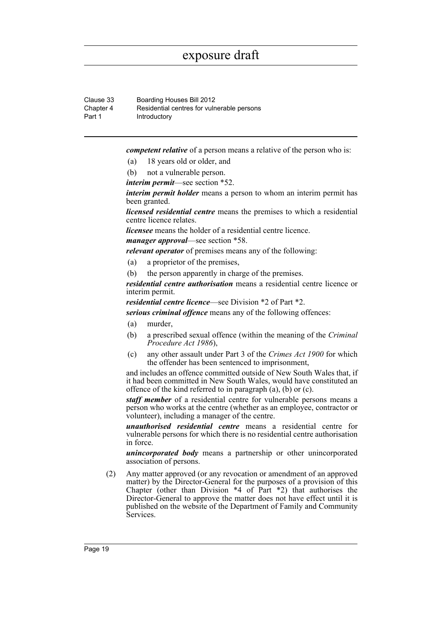Clause 33 Boarding Houses Bill 2012 Chapter 4 Part 1 Residential centres for vulnerable persons Introductory

*competent relative* of a person means a relative of the person who is:

- (a) 18 years old or older, and
- (b) not a vulnerable person.

*interim permit*—see section \*52.

*interim permit holder* means a person to whom an interim permit has been granted.

*licensed residential centre* means the premises to which a residential centre licence relates.

*licensee* means the holder of a residential centre licence.

*manager approval*—see section \*58.

*relevant operator* of premises means any of the following:

- (a) a proprietor of the premises,
- (b) the person apparently in charge of the premises.

*residential centre authorisation* means a residential centre licence or interim permit.

*residential centre licence*—see Division \*2 of Part \*2.

*serious criminal offence* means any of the following offences:

- (a) murder,
- (b) a prescribed sexual offence (within the meaning of the *Criminal Procedure Act 1986*),
- (c) any other assault under Part 3 of the *Crimes Act 1900* for which the offender has been sentenced to imprisonment,

and includes an offence committed outside of New South Wales that, if it had been committed in New South Wales, would have constituted an offence of the kind referred to in paragraph (a), (b) or (c).

*staff member* of a residential centre for vulnerable persons means a person who works at the centre (whether as an employee, contractor or volunteer), including a manager of the centre.

*unauthorised residential centre* means a residential centre for vulnerable persons for which there is no residential centre authorisation in force.

*unincorporated body* means a partnership or other unincorporated association of persons.

(2) Any matter approved (or any revocation or amendment of an approved matter) by the Director-General for the purposes of a provision of this Chapter (other than Division \*4 of Part \*2) that authorises the Director-General to approve the matter does not have effect until it is published on the website of the Department of Family and Community Services.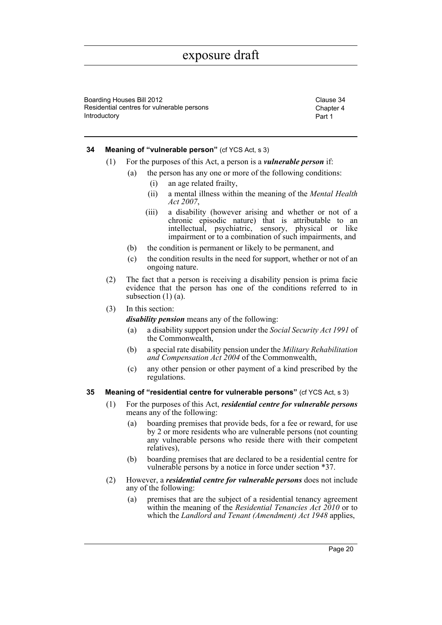Boarding Houses Bill 2012 Clause 34 Residential centres for vulnerable persons Introductory

Chapter 4 Part 1

#### <span id="page-24-0"></span>**34 Meaning of "vulnerable person"** (cf YCS Act, s 3)

- (1) For the purposes of this Act, a person is a *vulnerable person* if:
	- (a) the person has any one or more of the following conditions:
		- (i) an age related frailty,
		- (ii) a mental illness within the meaning of the *Mental Health Act 2007*,
		- (iii) a disability (however arising and whether or not of a chronic episodic nature) that is attributable to an intellectual, psychiatric, sensory, physical or like impairment or to a combination of such impairments, and
	- (b) the condition is permanent or likely to be permanent, and
	- (c) the condition results in the need for support, whether or not of an ongoing nature.
- (2) The fact that a person is receiving a disability pension is prima facie evidence that the person has one of the conditions referred to in subsection (1) (a).
- (3) In this section:

*disability pension* means any of the following:

- (a) a disability support pension under the *Social Security Act 1991* of the Commonwealth,
- (b) a special rate disability pension under the *Military Rehabilitation and Compensation Act 2004* of the Commonwealth,
- (c) any other pension or other payment of a kind prescribed by the regulations.

#### <span id="page-24-1"></span>**35 Meaning of "residential centre for vulnerable persons"** (cf YCS Act, s 3)

- (1) For the purposes of this Act, *residential centre for vulnerable persons* means any of the following:
	- (a) boarding premises that provide beds, for a fee or reward, for use by 2 or more residents who are vulnerable persons (not counting any vulnerable persons who reside there with their competent relatives),
	- (b) boarding premises that are declared to be a residential centre for vulnerable persons by a notice in force under section \*37.
- (2) However, a *residential centre for vulnerable persons* does not include any of the following:
	- (a) premises that are the subject of a residential tenancy agreement within the meaning of the *Residential Tenancies Act 2010* or to which the *Landlord and Tenant (Amendment) Act 1948* applies,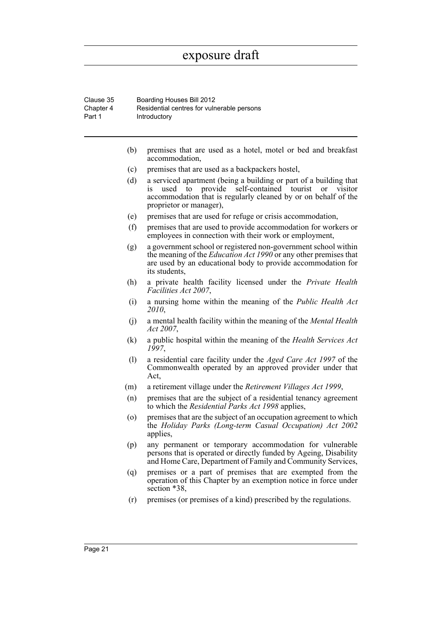| Clause 35 | Boarding Houses Bill 2012                  |
|-----------|--------------------------------------------|
| Chapter 4 | Residential centres for vulnerable persons |
| Part 1    | Introductory                               |

- (b) premises that are used as a hotel, motel or bed and breakfast accommodation,
- (c) premises that are used as a backpackers hostel,
- (d) a serviced apartment (being a building or part of a building that is used to provide self-contained tourist or visitor accommodation that is regularly cleaned by or on behalf of the proprietor or manager),
- (e) premises that are used for refuge or crisis accommodation,
- (f) premises that are used to provide accommodation for workers or employees in connection with their work or employment,
- (g) a government school or registered non-government school within the meaning of the *Education Act 1990* or any other premises that are used by an educational body to provide accommodation for its students,
- (h) a private health facility licensed under the *Private Health Facilities Act 2007*,
- (i) a nursing home within the meaning of the *Public Health Act 2010*,
- (j) a mental health facility within the meaning of the *Mental Health Act 2007*,
- (k) a public hospital within the meaning of the *Health Services Act 1997*,
- (l) a residential care facility under the *Aged Care Act 1997* of the Commonwealth operated by an approved provider under that Act,
- (m) a retirement village under the *Retirement Villages Act 1999*,
- (n) premises that are the subject of a residential tenancy agreement to which the *Residential Parks Act 1998* applies,
- (o) premises that are the subject of an occupation agreement to which the *Holiday Parks (Long-term Casual Occupation) Act 2002* applies,
- (p) any permanent or temporary accommodation for vulnerable persons that is operated or directly funded by Ageing, Disability and Home Care, Department of Family and Community Services,
- (q) premises or a part of premises that are exempted from the operation of this Chapter by an exemption notice in force under section \*38,
- (r) premises (or premises of a kind) prescribed by the regulations.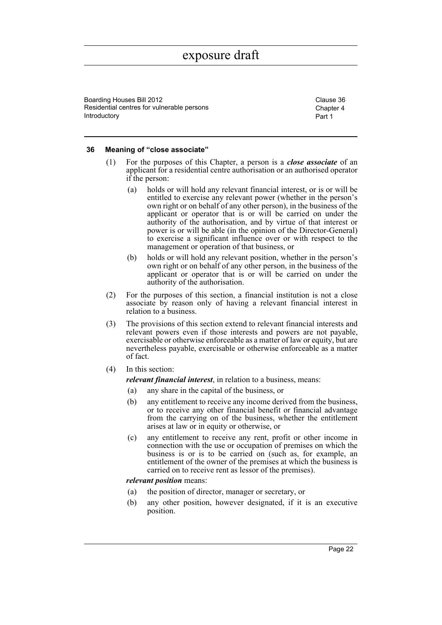Boarding Houses Bill 2012 Clause 36 Residential centres for vulnerable persons Introductory

Chapter 4 Part 1

#### <span id="page-26-0"></span>**36 Meaning of "close associate"**

- (1) For the purposes of this Chapter, a person is a *close associate* of an applicant for a residential centre authorisation or an authorised operator if the person:
	- (a) holds or will hold any relevant financial interest, or is or will be entitled to exercise any relevant power (whether in the person's own right or on behalf of any other person), in the business of the applicant or operator that is or will be carried on under the authority of the authorisation, and by virtue of that interest or power is or will be able (in the opinion of the Director-General) to exercise a significant influence over or with respect to the management or operation of that business, or
	- (b) holds or will hold any relevant position, whether in the person's own right or on behalf of any other person, in the business of the applicant or operator that is or will be carried on under the authority of the authorisation.
- (2) For the purposes of this section, a financial institution is not a close associate by reason only of having a relevant financial interest in relation to a business.
- (3) The provisions of this section extend to relevant financial interests and relevant powers even if those interests and powers are not payable, exercisable or otherwise enforceable as a matter of law or equity, but are nevertheless payable, exercisable or otherwise enforceable as a matter of fact.
- (4) In this section:

*relevant financial interest*, in relation to a business, means:

- (a) any share in the capital of the business, or
- (b) any entitlement to receive any income derived from the business, or to receive any other financial benefit or financial advantage from the carrying on of the business, whether the entitlement arises at law or in equity or otherwise, or
- (c) any entitlement to receive any rent, profit or other income in connection with the use or occupation of premises on which the business is or is to be carried on (such as, for example, an entitlement of the owner of the premises at which the business is carried on to receive rent as lessor of the premises).

#### *relevant position* means:

- (a) the position of director, manager or secretary, or
- (b) any other position, however designated, if it is an executive position.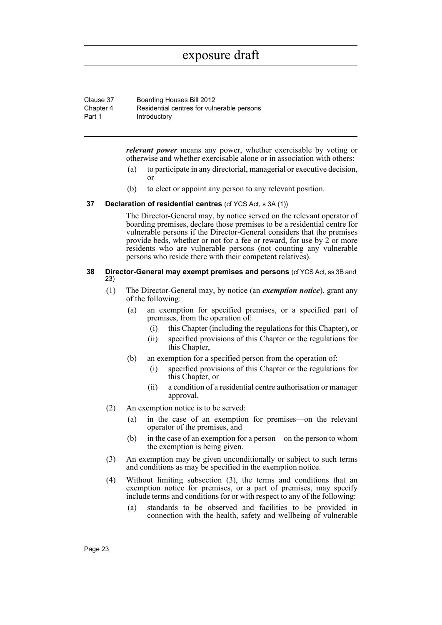| Clause 37 | Boarding Houses Bill 2012                  |
|-----------|--------------------------------------------|
| Chapter 4 | Residential centres for vulnerable persons |
| Part 1    | Introductory                               |

*relevant power* means any power, whether exercisable by voting or otherwise and whether exercisable alone or in association with others:

- (a) to participate in any directorial, managerial or executive decision, or
- (b) to elect or appoint any person to any relevant position.

#### <span id="page-27-0"></span>**37 Declaration of residential centres** (cf YCS Act, s 3A (1))

The Director-General may, by notice served on the relevant operator of boarding premises, declare those premises to be a residential centre for vulnerable persons if the Director-General considers that the premises provide beds, whether or not for a fee or reward, for use by  $\tilde{2}$  or more residents who are vulnerable persons (not counting any vulnerable persons who reside there with their competent relatives).

#### <span id="page-27-1"></span>**38 Director-General may exempt premises and persons** (cf YCS Act, ss 3B and 23)

- (1) The Director-General may, by notice (an *exemption notice*), grant any of the following:
	- (a) an exemption for specified premises, or a specified part of premises, from the operation of:
		- (i) this Chapter (including the regulations for this Chapter), or
		- (ii) specified provisions of this Chapter or the regulations for this Chapter,
	- (b) an exemption for a specified person from the operation of:
		- (i) specified provisions of this Chapter or the regulations for this Chapter, or
		- (ii) a condition of a residential centre authorisation or manager approval.
- (2) An exemption notice is to be served:
	- (a) in the case of an exemption for premises—on the relevant operator of the premises, and
	- (b) in the case of an exemption for a person—on the person to whom the exemption is being given.
- (3) An exemption may be given unconditionally or subject to such terms and conditions as may be specified in the exemption notice.
- (4) Without limiting subsection (3), the terms and conditions that an exemption notice for premises, or a part of premises, may specify include terms and conditions for or with respect to any of the following:
	- (a) standards to be observed and facilities to be provided in connection with the health, safety and wellbeing of vulnerable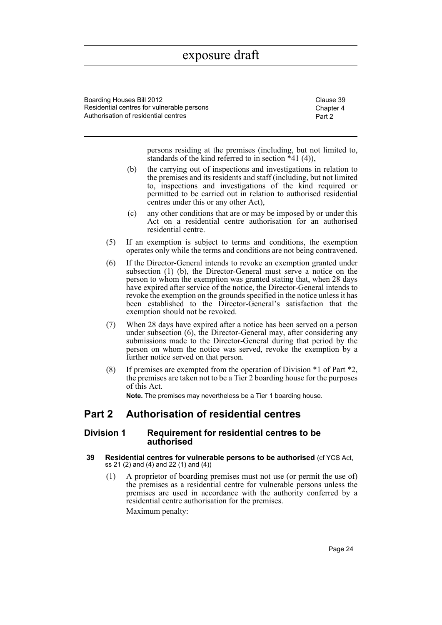Boarding Houses Bill 2012 Clause 39 Residential centres for vulnerable persons Authorisation of residential centres

Chapter 4 Part 2

persons residing at the premises (including, but not limited to, standards of the kind referred to in section  $*41$  (4)),

- (b) the carrying out of inspections and investigations in relation to the premises and its residents and staff (including, but not limited to, inspections and investigations of the kind required or permitted to be carried out in relation to authorised residential centres under this or any other Act),
- (c) any other conditions that are or may be imposed by or under this Act on a residential centre authorisation for an authorised residential centre.
- (5) If an exemption is subject to terms and conditions, the exemption operates only while the terms and conditions are not being contravened.
- (6) If the Director-General intends to revoke an exemption granted under subsection (1) (b), the Director-General must serve a notice on the person to whom the exemption was granted stating that, when 28 days have expired after service of the notice, the Director-General intends to revoke the exemption on the grounds specified in the notice unless it has been established to the Director-General's satisfaction that the exemption should not be revoked.
- (7) When 28 days have expired after a notice has been served on a person under subsection (6), the Director-General may, after considering any submissions made to the Director-General during that period by the person on whom the notice was served, revoke the exemption by a further notice served on that person.
- (8) If premises are exempted from the operation of Division \*1 of Part \*2, the premises are taken not to be a Tier 2 boarding house for the purposes of this Act.

**Note.** The premises may nevertheless be a Tier 1 boarding house.

### <span id="page-28-0"></span>**Part 2 Authorisation of residential centres**

#### <span id="page-28-1"></span>**Division 1 Requirement for residential centres to be authorised**

- <span id="page-28-2"></span>**39 Residential centres for vulnerable persons to be authorised** (cf YCS Act, ss 21 (2) and (4) and 22 (1) and (4))
	- (1) A proprietor of boarding premises must not use (or permit the use of) the premises as a residential centre for vulnerable persons unless the premises are used in accordance with the authority conferred by a residential centre authorisation for the premises. Maximum penalty:

Page 24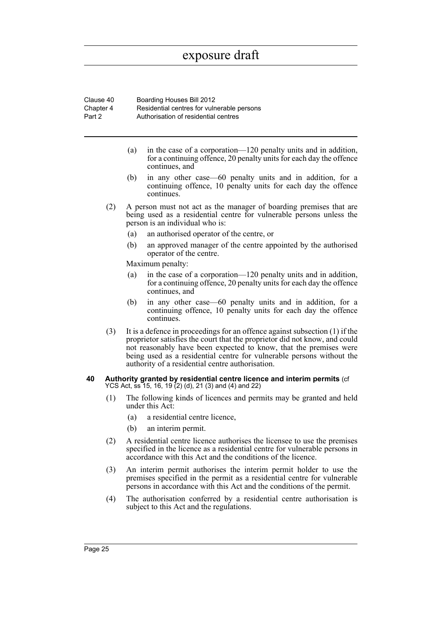| Clause 40 | Boarding Houses Bill 2012                  |
|-----------|--------------------------------------------|
| Chapter 4 | Residential centres for vulnerable persons |
| Part 2    | Authorisation of residential centres       |

- (a) in the case of a corporation—120 penalty units and in addition, for a continuing offence, 20 penalty units for each day the offence continues, and
- (b) in any other case—60 penalty units and in addition, for a continuing offence, 10 penalty units for each day the offence continues.
- (2) A person must not act as the manager of boarding premises that are being used as a residential centre for vulnerable persons unless the person is an individual who is:
	- (a) an authorised operator of the centre, or
	- (b) an approved manager of the centre appointed by the authorised operator of the centre.

Maximum penalty:

- (a) in the case of a corporation—120 penalty units and in addition, for a continuing offence, 20 penalty units for each day the offence continues, and
- (b) in any other case—60 penalty units and in addition, for a continuing offence, 10 penalty units for each day the offence continues.
- (3) It is a defence in proceedings for an offence against subsection (1) if the proprietor satisfies the court that the proprietor did not know, and could not reasonably have been expected to know, that the premises were being used as a residential centre for vulnerable persons without the authority of a residential centre authorisation.
- <span id="page-29-0"></span>**40 Authority granted by residential centre licence and interim permits** (cf YCS Act, ss 15, 16, 19 (2) (d), 21 (3) and (4) and 22)
	- (1) The following kinds of licences and permits may be granted and held under this Act:
		- (a) a residential centre licence,
		- (b) an interim permit.
	- (2) A residential centre licence authorises the licensee to use the premises specified in the licence as a residential centre for vulnerable persons in accordance with this Act and the conditions of the licence.
	- (3) An interim permit authorises the interim permit holder to use the premises specified in the permit as a residential centre for vulnerable persons in accordance with this Act and the conditions of the permit.
	- (4) The authorisation conferred by a residential centre authorisation is subject to this Act and the regulations.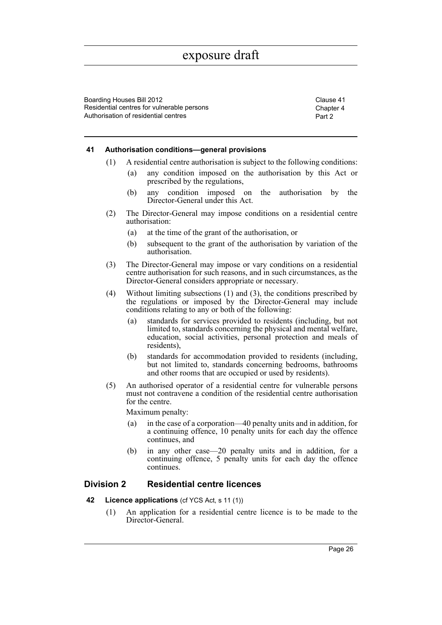Boarding Houses Bill 2012 Clause 41 Residential centres for vulnerable persons Authorisation of residential centres

Chapter 4 Part 2

#### <span id="page-30-0"></span>**41 Authorisation conditions—general provisions**

- (1) A residential centre authorisation is subject to the following conditions:
	- (a) any condition imposed on the authorisation by this Act or prescribed by the regulations,
	- (b) any condition imposed on the authorisation by the Director-General under this Act.
- (2) The Director-General may impose conditions on a residential centre authorisation:
	- (a) at the time of the grant of the authorisation, or
	- (b) subsequent to the grant of the authorisation by variation of the authorisation.
- (3) The Director-General may impose or vary conditions on a residential centre authorisation for such reasons, and in such circumstances, as the Director-General considers appropriate or necessary.
- (4) Without limiting subsections (1) and (3), the conditions prescribed by the regulations or imposed by the Director-General may include conditions relating to any or both of the following:
	- (a) standards for services provided to residents (including, but not limited to, standards concerning the physical and mental welfare, education, social activities, personal protection and meals of residents),
	- (b) standards for accommodation provided to residents (including, but not limited to, standards concerning bedrooms, bathrooms and other rooms that are occupied or used by residents).
- (5) An authorised operator of a residential centre for vulnerable persons must not contravene a condition of the residential centre authorisation for the centre.

Maximum penalty:

- (a) in the case of a corporation—40 penalty units and in addition, for a continuing offence, 10 penalty units for each day the offence continues, and
- (b) in any other case—20 penalty units and in addition, for a continuing offence, 5 penalty units for each day the offence continues.

#### <span id="page-30-1"></span>**Division 2 Residential centre licences**

- <span id="page-30-2"></span>**42 Licence applications** (cf YCS Act, s 11 (1))
	- (1) An application for a residential centre licence is to be made to the Director-General.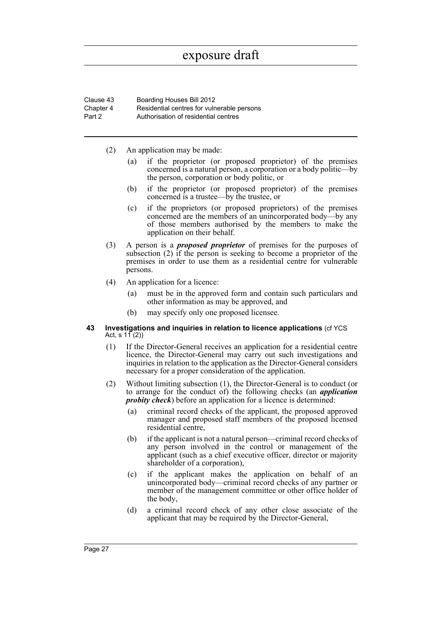| Clause 43 | Boarding Houses Bill 2012                  |
|-----------|--------------------------------------------|
| Chapter 4 | Residential centres for vulnerable persons |
| Part 2    | Authorisation of residential centres       |

- (2) An application may be made:
	- (a) if the proprietor (or proposed proprietor) of the premises concerned is a natural person, a corporation or a body politic—by the person, corporation or body politic, or
	- (b) if the proprietor (or proposed proprietor) of the premises concerned is a trustee—by the trustee, or
	- (c) if the proprietors (or proposed proprietors) of the premises concerned are the members of an unincorporated body—by any of those members authorised by the members to make the application on their behalf.
- (3) A person is a *proposed proprietor* of premises for the purposes of subsection (2) if the person is seeking to become a proprietor of the premises in order to use them as a residential centre for vulnerable persons.
- (4) An application for a licence:
	- (a) must be in the approved form and contain such particulars and other information as may be approved, and
	- (b) may specify only one proposed licensee.
- <span id="page-31-0"></span>**43 Investigations and inquiries in relation to licence applications** (cf YCS Act, s  $11(2)$ )
	- (1) If the Director-General receives an application for a residential centre licence, the Director-General may carry out such investigations and inquiries in relation to the application as the Director-General considers necessary for a proper consideration of the application.
	- (2) Without limiting subsection (1), the Director-General is to conduct (or to arrange for the conduct of) the following checks (an *application probity check*) before an application for a licence is determined:
		- (a) criminal record checks of the applicant, the proposed approved manager and proposed staff members of the proposed licensed residential centre,
		- (b) if the applicant is not a natural person—criminal record checks of any person involved in the control or management of the applicant (such as a chief executive officer, director or majority shareholder of a corporation),
		- (c) if the applicant makes the application on behalf of an unincorporated body—criminal record checks of any partner or member of the management committee or other office holder of the body,
		- (d) a criminal record check of any other close associate of the applicant that may be required by the Director-General,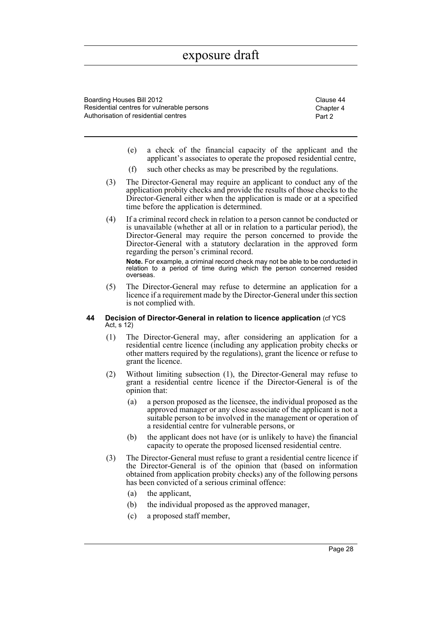Boarding Houses Bill 2012 Clause 44 Residential centres for vulnerable persons Authorisation of residential centres

Chapter 4 Part 2

- (e) a check of the financial capacity of the applicant and the applicant's associates to operate the proposed residential centre,
- (f) such other checks as may be prescribed by the regulations.
- (3) The Director-General may require an applicant to conduct any of the application probity checks and provide the results of those checks to the Director-General either when the application is made or at a specified time before the application is determined.
- (4) If a criminal record check in relation to a person cannot be conducted or is unavailable (whether at all or in relation to a particular period), the Director-General may require the person concerned to provide the Director-General with a statutory declaration in the approved form regarding the person's criminal record. **Note.** For example, a criminal record check may not be able to be conducted in relation to a period of time during which the person concerned resided overseas.
- (5) The Director-General may refuse to determine an application for a licence if a requirement made by the Director-General under this section is not complied with.

#### <span id="page-32-0"></span>**44 Decision of Director-General in relation to licence application** (cf YCS Act, s 12)

- (1) The Director-General may, after considering an application for a residential centre licence (including any application probity checks or other matters required by the regulations), grant the licence or refuse to grant the licence.
- (2) Without limiting subsection (1), the Director-General may refuse to grant a residential centre licence if the Director-General is of the opinion that:
	- (a) a person proposed as the licensee, the individual proposed as the approved manager or any close associate of the applicant is not a suitable person to be involved in the management or operation of a residential centre for vulnerable persons, or
	- (b) the applicant does not have (or is unlikely to have) the financial capacity to operate the proposed licensed residential centre.
- (3) The Director-General must refuse to grant a residential centre licence if the Director-General is of the opinion that (based on information obtained from application probity checks) any of the following persons has been convicted of a serious criminal offence:
	- (a) the applicant,
	- (b) the individual proposed as the approved manager,
	- (c) a proposed staff member,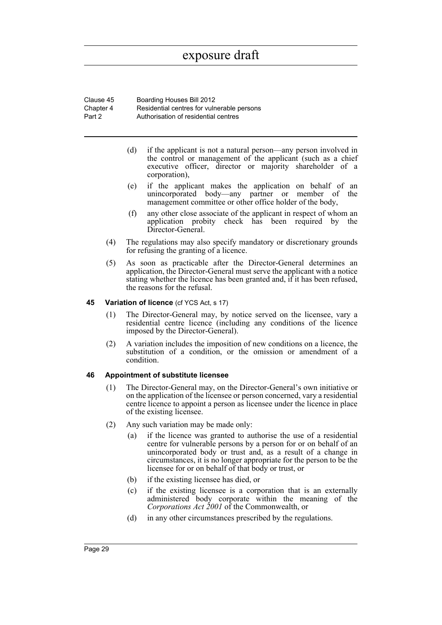Clause 45 Boarding Houses Bill 2012 Chapter 4 Part 2 Residential centres for vulnerable persons Authorisation of residential centres

- (d) if the applicant is not a natural person—any person involved in the control or management of the applicant (such as a chief executive officer, director or majority shareholder of a corporation),
- (e) if the applicant makes the application on behalf of an unincorporated body—any partner or member of the management committee or other office holder of the body,
- (f) any other close associate of the applicant in respect of whom an application probity check has been required by the Director-General.
- (4) The regulations may also specify mandatory or discretionary grounds for refusing the granting of a licence.
- (5) As soon as practicable after the Director-General determines an application, the Director-General must serve the applicant with a notice stating whether the licence has been granted and, if it has been refused, the reasons for the refusal.

#### <span id="page-33-0"></span>**45 Variation of licence** (cf YCS Act, s 17)

- (1) The Director-General may, by notice served on the licensee, vary a residential centre licence (including any conditions of the licence imposed by the Director-General).
- (2) A variation includes the imposition of new conditions on a licence, the substitution of a condition, or the omission or amendment of a condition.

#### <span id="page-33-1"></span>**46 Appointment of substitute licensee**

- (1) The Director-General may, on the Director-General's own initiative or on the application of the licensee or person concerned, vary a residential centre licence to appoint a person as licensee under the licence in place of the existing licensee.
- (2) Any such variation may be made only:
	- (a) if the licence was granted to authorise the use of a residential centre for vulnerable persons by a person for or on behalf of an unincorporated body or trust and, as a result of a change in circumstances, it is no longer appropriate for the person to be the licensee for or on behalf of that body or trust, or
	- (b) if the existing licensee has died, or
	- (c) if the existing licensee is a corporation that is an externally administered body corporate within the meaning of the *Corporations Act 2001* of the Commonwealth, or
	- (d) in any other circumstances prescribed by the regulations.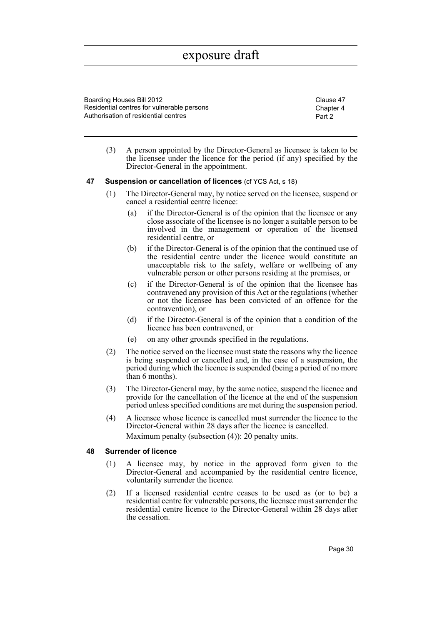Boarding Houses Bill 2012 Clause 47 Residential centres for vulnerable persons Authorisation of residential centres

Chapter 4 Part 2

(3) A person appointed by the Director-General as licensee is taken to be the licensee under the licence for the period (if any) specified by the Director-General in the appointment.

#### <span id="page-34-0"></span>**47 Suspension or cancellation of licences** (cf YCS Act, s 18)

- (1) The Director-General may, by notice served on the licensee, suspend or cancel a residential centre licence:
	- (a) if the Director-General is of the opinion that the licensee or any close associate of the licensee is no longer a suitable person to be involved in the management or operation of the licensed residential centre, or
	- (b) if the Director-General is of the opinion that the continued use of the residential centre under the licence would constitute an unacceptable risk to the safety, welfare or wellbeing of any vulnerable person or other persons residing at the premises, or
	- (c) if the Director-General is of the opinion that the licensee has contravened any provision of this Act or the regulations (whether or not the licensee has been convicted of an offence for the contravention), or
	- (d) if the Director-General is of the opinion that a condition of the licence has been contravened, or
	- (e) on any other grounds specified in the regulations.
- (2) The notice served on the licensee must state the reasons why the licence is being suspended or cancelled and, in the case of a suspension, the period during which the licence is suspended (being a period of no more than 6 months).
- (3) The Director-General may, by the same notice, suspend the licence and provide for the cancellation of the licence at the end of the suspension period unless specified conditions are met during the suspension period.
- (4) A licensee whose licence is cancelled must surrender the licence to the Director-General within 28 days after the licence is cancelled. Maximum penalty (subsection (4)): 20 penalty units.

#### <span id="page-34-1"></span>**48 Surrender of licence**

- (1) A licensee may, by notice in the approved form given to the Director-General and accompanied by the residential centre licence, voluntarily surrender the licence.
- (2) If a licensed residential centre ceases to be used as (or to be) a residential centre for vulnerable persons, the licensee must surrender the residential centre licence to the Director-General within 28 days after the cessation.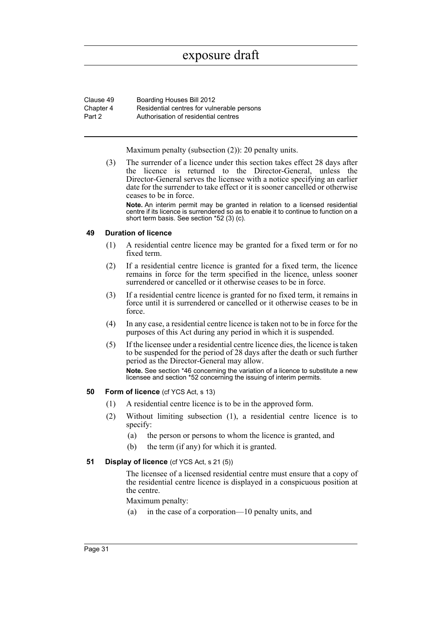| Clause 49 | Boarding Houses Bill 2012                  |
|-----------|--------------------------------------------|
| Chapter 4 | Residential centres for vulnerable persons |
| Part 2    | Authorisation of residential centres       |

Maximum penalty (subsection (2)): 20 penalty units.

(3) The surrender of a licence under this section takes effect 28 days after the licence is returned to the Director-General, unless the Director-General serves the licensee with a notice specifying an earlier date for the surrender to take effect or it is sooner cancelled or otherwise ceases to be in force.

**Note.** An interim permit may be granted in relation to a licensed residential centre if its licence is surrendered so as to enable it to continue to function on a short term basis. See section \*52 (3) (c).

#### <span id="page-35-0"></span>**49 Duration of licence**

- (1) A residential centre licence may be granted for a fixed term or for no fixed term.
- (2) If a residential centre licence is granted for a fixed term, the licence remains in force for the term specified in the licence, unless sooner surrendered or cancelled or it otherwise ceases to be in force.
- (3) If a residential centre licence is granted for no fixed term, it remains in force until it is surrendered or cancelled or it otherwise ceases to be in force.
- (4) In any case, a residential centre licence is taken not to be in force for the purposes of this Act during any period in which it is suspended.
- (5) If the licensee under a residential centre licence dies, the licence is taken to be suspended for the period of 28 days after the death or such further period as the Director-General may allow.

**Note.** See section \*46 concerning the variation of a licence to substitute a new licensee and section \*52 concerning the issuing of interim permits.

#### <span id="page-35-1"></span>**50 Form of licence** (cf YCS Act, s 13)

- (1) A residential centre licence is to be in the approved form.
- (2) Without limiting subsection (1), a residential centre licence is to specify:
	- (a) the person or persons to whom the licence is granted, and
	- (b) the term (if any) for which it is granted.

#### <span id="page-35-2"></span>**51 Display of licence** (cf YCS Act, s 21 (5))

The licensee of a licensed residential centre must ensure that a copy of the residential centre licence is displayed in a conspicuous position at the centre.

Maximum penalty:

(a) in the case of a corporation—10 penalty units, and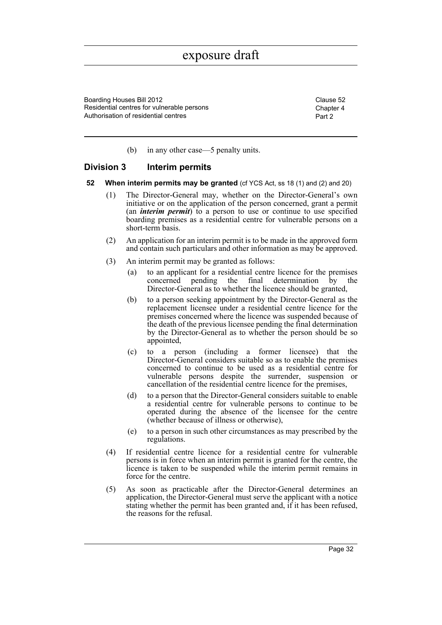Boarding Houses Bill 2012 Clause 52 Residential centres for vulnerable persons Authorisation of residential centres

Chapter 4 Part 2

(b) in any other case—5 penalty units.

## **Division 3 Interim permits**

- **52 When interim permits may be granted** (cf YCS Act, ss 18 (1) and (2) and 20)
	- (1) The Director-General may, whether on the Director-General's own initiative or on the application of the person concerned, grant a permit (an *interim permit*) to a person to use or continue to use specified boarding premises as a residential centre for vulnerable persons on a short-term basis.
	- (2) An application for an interim permit is to be made in the approved form and contain such particulars and other information as may be approved.
	- (3) An interim permit may be granted as follows:
		- (a) to an applicant for a residential centre licence for the premises concerned pending the final determination by the Director-General as to whether the licence should be granted,
		- (b) to a person seeking appointment by the Director-General as the replacement licensee under a residential centre licence for the premises concerned where the licence was suspended because of the death of the previous licensee pending the final determination by the Director-General as to whether the person should be so appointed,
		- (c) to a person (including a former licensee) that the Director-General considers suitable so as to enable the premises concerned to continue to be used as a residential centre for vulnerable persons despite the surrender, suspension or cancellation of the residential centre licence for the premises,
		- (d) to a person that the Director-General considers suitable to enable a residential centre for vulnerable persons to continue to be operated during the absence of the licensee for the centre (whether because of illness or otherwise),
		- (e) to a person in such other circumstances as may prescribed by the regulations.
	- (4) If residential centre licence for a residential centre for vulnerable persons is in force when an interim permit is granted for the centre, the licence is taken to be suspended while the interim permit remains in force for the centre.
	- (5) As soon as practicable after the Director-General determines an application, the Director-General must serve the applicant with a notice stating whether the permit has been granted and, if it has been refused, the reasons for the refusal.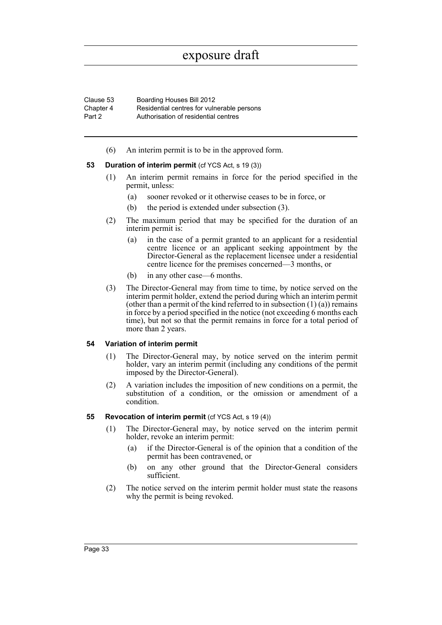| Clause 53 | Boarding Houses Bill 2012                  |
|-----------|--------------------------------------------|
| Chapter 4 | Residential centres for vulnerable persons |
| Part 2    | Authorisation of residential centres       |

(6) An interim permit is to be in the approved form.

### **53** Duration of interim permit (cf YCS Act, s 19 (3))

- (1) An interim permit remains in force for the period specified in the permit, unless:
	- (a) sooner revoked or it otherwise ceases to be in force, or
	- (b) the period is extended under subsection (3).
- (2) The maximum period that may be specified for the duration of an interim permit is:
	- (a) in the case of a permit granted to an applicant for a residential centre licence or an applicant seeking appointment by the Director-General as the replacement licensee under a residential centre licence for the premises concerned—3 months, or
	- (b) in any other case—6 months.
- (3) The Director-General may from time to time, by notice served on the interim permit holder, extend the period during which an interim permit (other than a permit of the kind referred to in subsection  $(1)$   $(a)$ ) remains in force by a period specified in the notice (not exceeding 6 months each time), but not so that the permit remains in force for a total period of more than 2 years.

#### **54 Variation of interim permit**

- (1) The Director-General may, by notice served on the interim permit holder, vary an interim permit (including any conditions of the permit imposed by the Director-General).
- (2) A variation includes the imposition of new conditions on a permit, the substitution of a condition, or the omission or amendment of a condition.

#### **55 Revocation of interim permit** (cf YCS Act, s 19 (4))

- (1) The Director-General may, by notice served on the interim permit holder, revoke an interim permit:
	- (a) if the Director-General is of the opinion that a condition of the permit has been contravened, or
	- (b) on any other ground that the Director-General considers sufficient.
- (2) The notice served on the interim permit holder must state the reasons why the permit is being revoked.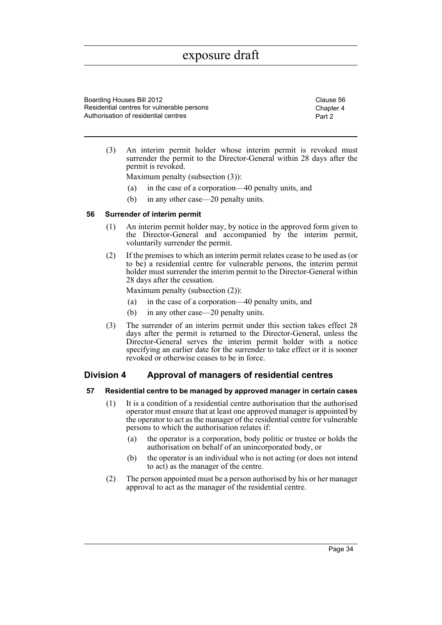Boarding Houses Bill 2012 Clause 56 Residential centres for vulnerable persons Authorisation of residential centres

Chapter 4 Part 2

(3) An interim permit holder whose interim permit is revoked must surrender the permit to the Director-General within 28 days after the permit is revoked.

Maximum penalty (subsection (3)):

- (a) in the case of a corporation—40 penalty units, and
- (b) in any other case—20 penalty units.

### **56 Surrender of interim permit**

- (1) An interim permit holder may, by notice in the approved form given to the Director-General and accompanied by the interim permit, voluntarily surrender the permit.
- (2) If the premises to which an interim permit relates cease to be used as (or to be) a residential centre for vulnerable persons, the interim permit holder must surrender the interim permit to the Director-General within 28 days after the cessation.

Maximum penalty (subsection (2)):

- (a) in the case of a corporation—40 penalty units, and
- (b) in any other case—20 penalty units.
- (3) The surrender of an interim permit under this section takes effect 28 days after the permit is returned to the Director-General, unless the Director-General serves the interim permit holder with a notice specifying an earlier date for the surrender to take effect or it is sooner revoked or otherwise ceases to be in force.

# **Division 4 Approval of managers of residential centres**

#### **57 Residential centre to be managed by approved manager in certain cases**

- (1) It is a condition of a residential centre authorisation that the authorised operator must ensure that at least one approved manager is appointed by the operator to act as the manager of the residential centre for vulnerable persons to which the authorisation relates if:
	- (a) the operator is a corporation, body politic or trustee or holds the authorisation on behalf of an unincorporated body, or
	- (b) the operator is an individual who is not acting (or does not intend to act) as the manager of the centre.
- (2) The person appointed must be a person authorised by his or her manager approval to act as the manager of the residential centre.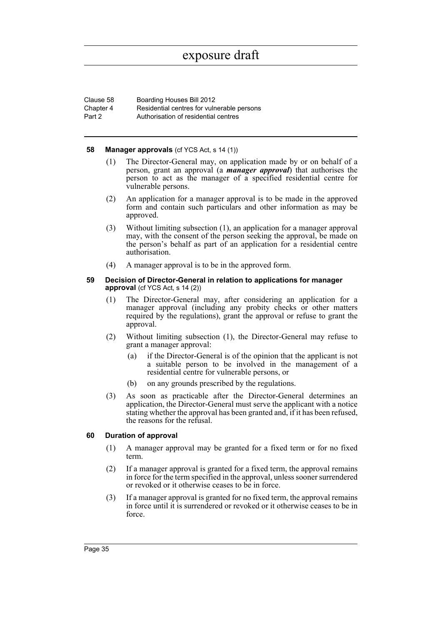| Clause 58 | Boarding Houses Bill 2012                  |
|-----------|--------------------------------------------|
| Chapter 4 | Residential centres for vulnerable persons |
| Part 2    | Authorisation of residential centres       |

#### **58 Manager approvals** (cf YCS Act, s 14 (1))

- (1) The Director-General may, on application made by or on behalf of a person, grant an approval (a *manager approval*) that authorises the person to act as the manager of a specified residential centre for vulnerable persons.
- (2) An application for a manager approval is to be made in the approved form and contain such particulars and other information as may be approved.
- (3) Without limiting subsection (1), an application for a manager approval may, with the consent of the person seeking the approval, be made on the person's behalf as part of an application for a residential centre authorisation.
- (4) A manager approval is to be in the approved form.

#### **59 Decision of Director-General in relation to applications for manager approval** (cf YCS Act, s 14 (2))

- (1) The Director-General may, after considering an application for a manager approval (including any probity checks or other matters required by the regulations), grant the approval or refuse to grant the approval.
- (2) Without limiting subsection (1), the Director-General may refuse to grant a manager approval:
	- (a) if the Director-General is of the opinion that the applicant is not a suitable person to be involved in the management of a residential centre for vulnerable persons, or
	- (b) on any grounds prescribed by the regulations.
- (3) As soon as practicable after the Director-General determines an application, the Director-General must serve the applicant with a notice stating whether the approval has been granted and, if it has been refused, the reasons for the refusal.

### **60 Duration of approval**

- (1) A manager approval may be granted for a fixed term or for no fixed term.
- (2) If a manager approval is granted for a fixed term, the approval remains in force for the term specified in the approval, unless sooner surrendered or revoked or it otherwise ceases to be in force.
- (3) If a manager approval is granted for no fixed term, the approval remains in force until it is surrendered or revoked or it otherwise ceases to be in force.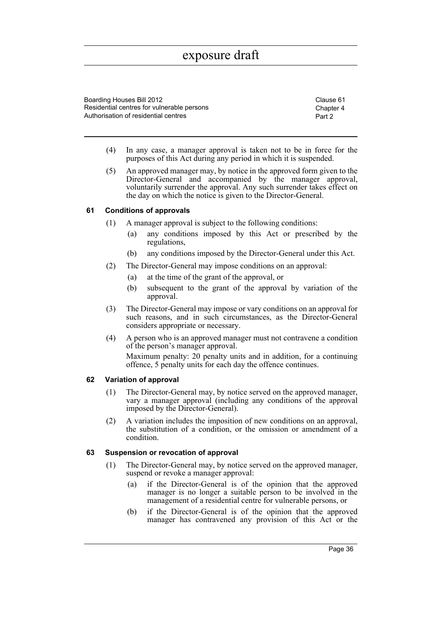Boarding Houses Bill 2012 Clause 61 Residential centres for vulnerable persons Authorisation of residential centres

Chapter 4 Part 2

- (4) In any case, a manager approval is taken not to be in force for the purposes of this Act during any period in which it is suspended.
- (5) An approved manager may, by notice in the approved form given to the Director-General and accompanied by the manager approval, voluntarily surrender the approval. Any such surrender takes effect on the day on which the notice is given to the Director-General.

### **61 Conditions of approvals**

- (1) A manager approval is subject to the following conditions:
	- (a) any conditions imposed by this Act or prescribed by the regulations,
	- (b) any conditions imposed by the Director-General under this Act.
- (2) The Director-General may impose conditions on an approval:
	- (a) at the time of the grant of the approval, or
	- (b) subsequent to the grant of the approval by variation of the approval.
- (3) The Director-General may impose or vary conditions on an approval for such reasons, and in such circumstances, as the Director-General considers appropriate or necessary.
- (4) A person who is an approved manager must not contravene a condition of the person's manager approval. Maximum penalty: 20 penalty units and in addition, for a continuing offence, 5 penalty units for each day the offence continues.

## **62 Variation of approval**

- (1) The Director-General may, by notice served on the approved manager, vary a manager approval (including any conditions of the approval imposed by the Director-General).
- (2) A variation includes the imposition of new conditions on an approval, the substitution of a condition, or the omission or amendment of a condition.

## **63 Suspension or revocation of approval**

- (1) The Director-General may, by notice served on the approved manager, suspend or revoke a manager approval:
	- (a) if the Director-General is of the opinion that the approved manager is no longer a suitable person to be involved in the management of a residential centre for vulnerable persons, or
	- (b) if the Director-General is of the opinion that the approved manager has contravened any provision of this Act or the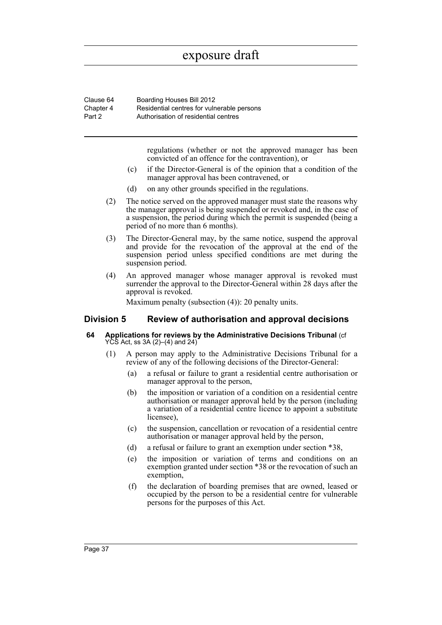| Clause 64 | Boarding Houses Bill 2012                  |
|-----------|--------------------------------------------|
| Chapter 4 | Residential centres for vulnerable persons |
| Part 2    | Authorisation of residential centres       |

regulations (whether or not the approved manager has been convicted of an offence for the contravention), or

- (c) if the Director-General is of the opinion that a condition of the manager approval has been contravened, or
- (d) on any other grounds specified in the regulations.
- (2) The notice served on the approved manager must state the reasons why the manager approval is being suspended or revoked and, in the case of a suspension, the period during which the permit is suspended (being a period of no more than 6 months).
- (3) The Director-General may, by the same notice, suspend the approval and provide for the revocation of the approval at the end of the suspension period unless specified conditions are met during the suspension period.
- (4) An approved manager whose manager approval is revoked must surrender the approval to the Director-General within 28 days after the approval is revoked.

Maximum penalty (subsection (4)): 20 penalty units.

# **Division 5 Review of authorisation and approval decisions**

- **64 Applications for reviews by the Administrative Decisions Tribunal** (cf YCS Act, ss 3A (2)–(4) and 24)
	- (1) A person may apply to the Administrative Decisions Tribunal for a review of any of the following decisions of the Director-General:
		- (a) a refusal or failure to grant a residential centre authorisation or manager approval to the person,
		- (b) the imposition or variation of a condition on a residential centre authorisation or manager approval held by the person (including a variation of a residential centre licence to appoint a substitute licensee),
		- (c) the suspension, cancellation or revocation of a residential centre authorisation or manager approval held by the person,
		- (d) a refusal or failure to grant an exemption under section \*38,
		- (e) the imposition or variation of terms and conditions on an exemption granted under section \*38 or the revocation of such an exemption,
		- (f) the declaration of boarding premises that are owned, leased or occupied by the person to be a residential centre for vulnerable persons for the purposes of this Act.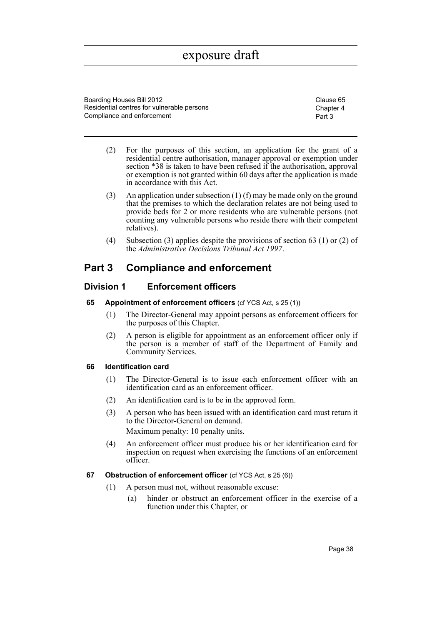Boarding Houses Bill 2012 Clause 65 Residential centres for vulnerable persons Compliance and enforcement

Chapter 4 Part 3

- (2) For the purposes of this section, an application for the grant of a residential centre authorisation, manager approval or exemption under section \*38 is taken to have been refused if the authorisation, approval or exemption is not granted within 60 days after the application is made in accordance with this Act.
- (3) An application under subsection (1) (f) may be made only on the ground that the premises to which the declaration relates are not being used to provide beds for 2 or more residents who are vulnerable persons (not counting any vulnerable persons who reside there with their competent relatives).
- (4) Subsection (3) applies despite the provisions of section 63 (1) or (2) of the *Administrative Decisions Tribunal Act 1997*.

# **Part 3 Compliance and enforcement**

# **Division 1 Enforcement officers**

- **65 Appointment of enforcement officers** (cf YCS Act, s 25 (1))
	- (1) The Director-General may appoint persons as enforcement officers for the purposes of this Chapter.
	- (2) A person is eligible for appointment as an enforcement officer only if the person is a member of staff of the Department of Family and Community Services.

## **66 Identification card**

- (1) The Director-General is to issue each enforcement officer with an identification card as an enforcement officer.
- (2) An identification card is to be in the approved form.
- (3) A person who has been issued with an identification card must return it to the Director-General on demand. Maximum penalty: 10 penalty units.
- (4) An enforcement officer must produce his or her identification card for inspection on request when exercising the functions of an enforcement officer.
- **67 Obstruction of enforcement officer** (cf YCS Act, s 25 (6))
	- (1) A person must not, without reasonable excuse:
		- (a) hinder or obstruct an enforcement officer in the exercise of a function under this Chapter, or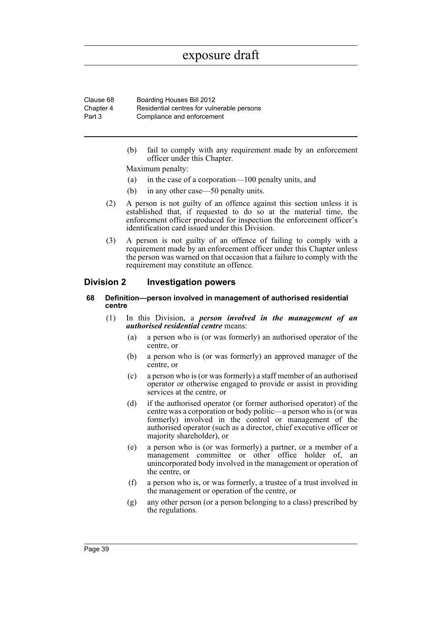Clause 68 Boarding Houses Bill 2012 Chapter 4 Part 3 Residential centres for vulnerable persons Compliance and enforcement

> (b) fail to comply with any requirement made by an enforcement officer under this Chapter.

Maximum penalty:

- (a) in the case of a corporation—100 penalty units, and
- (b) in any other case—50 penalty units.
- (2) A person is not guilty of an offence against this section unless it is established that, if requested to do so at the material time, the enforcement officer produced for inspection the enforcement officer's identification card issued under this Division.
- (3) A person is not guilty of an offence of failing to comply with a requirement made by an enforcement officer under this Chapter unless the person was warned on that occasion that a failure to comply with the requirement may constitute an offence.

## **Division 2 Investigation powers**

#### **68 Definition—person involved in management of authorised residential centre**

- (1) In this Division, a *person involved in the management of an authorised residential centre* means:
	- (a) a person who is (or was formerly) an authorised operator of the centre, or
	- (b) a person who is (or was formerly) an approved manager of the centre, or
	- (c) a person who is (or was formerly) a staff member of an authorised operator or otherwise engaged to provide or assist in providing services at the centre, or
	- (d) if the authorised operator (or former authorised operator) of the centre was a corporation or body politic—a person who is (or was formerly) involved in the control or management of the authorised operator (such as a director, chief executive officer or majority shareholder), or
	- (e) a person who is (or was formerly) a partner, or a member of a management committee or other office holder of, an unincorporated body involved in the management or operation of the centre, or
	- (f) a person who is, or was formerly, a trustee of a trust involved in the management or operation of the centre, or
	- (g) any other person (or a person belonging to a class) prescribed by the regulations.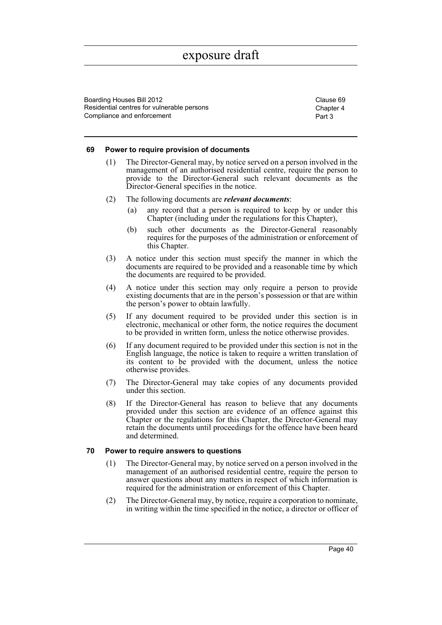Boarding Houses Bill 2012 Clause 69 Residential centres for vulnerable persons Compliance and enforcement

Chapter 4 Part 3

#### **69 Power to require provision of documents**

- (1) The Director-General may, by notice served on a person involved in the management of an authorised residential centre, require the person to provide to the Director-General such relevant documents as the Director-General specifies in the notice.
- (2) The following documents are *relevant documents*:
	- (a) any record that a person is required to keep by or under this Chapter (including under the regulations for this Chapter),
	- (b) such other documents as the Director-General reasonably requires for the purposes of the administration or enforcement of this Chapter.
- (3) A notice under this section must specify the manner in which the documents are required to be provided and a reasonable time by which the documents are required to be provided.
- (4) A notice under this section may only require a person to provide existing documents that are in the person's possession or that are within the person's power to obtain lawfully.
- (5) If any document required to be provided under this section is in electronic, mechanical or other form, the notice requires the document to be provided in written form, unless the notice otherwise provides.
- (6) If any document required to be provided under this section is not in the English language, the notice is taken to require a written translation of its content to be provided with the document, unless the notice otherwise provides.
- (7) The Director-General may take copies of any documents provided under this section.
- (8) If the Director-General has reason to believe that any documents provided under this section are evidence of an offence against this Chapter or the regulations for this Chapter, the Director-General may retain the documents until proceedings for the offence have been heard and determined.

## **70 Power to require answers to questions**

- (1) The Director-General may, by notice served on a person involved in the management of an authorised residential centre, require the person to answer questions about any matters in respect of which information is required for the administration or enforcement of this Chapter.
- (2) The Director-General may, by notice, require a corporation to nominate, in writing within the time specified in the notice, a director or officer of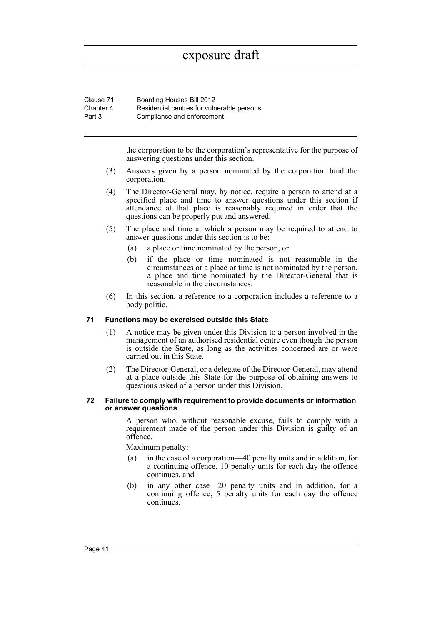| Clause 71 | Boarding Houses Bill 2012                  |
|-----------|--------------------------------------------|
| Chapter 4 | Residential centres for vulnerable persons |
| Part 3    | Compliance and enforcement                 |

the corporation to be the corporation's representative for the purpose of answering questions under this section.

- (3) Answers given by a person nominated by the corporation bind the corporation.
- (4) The Director-General may, by notice, require a person to attend at a specified place and time to answer questions under this section if attendance at that place is reasonably required in order that the questions can be properly put and answered.
- (5) The place and time at which a person may be required to attend to answer questions under this section is to be:
	- (a) a place or time nominated by the person, or
	- (b) if the place or time nominated is not reasonable in the circumstances or a place or time is not nominated by the person, a place and time nominated by the Director-General that is reasonable in the circumstances.
- (6) In this section, a reference to a corporation includes a reference to a body politic.

## **71 Functions may be exercised outside this State**

- (1) A notice may be given under this Division to a person involved in the management of an authorised residential centre even though the person is outside the State, as long as the activities concerned are or were carried out in this State.
- (2) The Director-General, or a delegate of the Director-General, may attend at a place outside this State for the purpose of obtaining answers to questions asked of a person under this Division.

#### **72 Failure to comply with requirement to provide documents or information or answer questions**

A person who, without reasonable excuse, fails to comply with a requirement made of the person under this Division is guilty of an offence.

Maximum penalty:

- (a) in the case of a corporation—40 penalty units and in addition, for a continuing offence, 10 penalty units for each day the offence continues, and
- (b) in any other case—20 penalty units and in addition, for a continuing offence, 5 penalty units for each day the offence continues.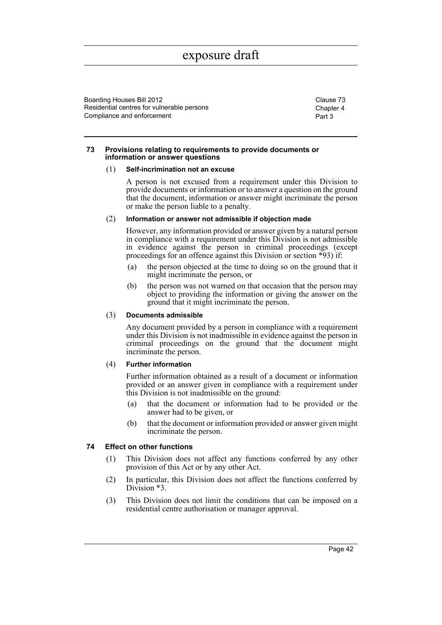Boarding Houses Bill 2012 Clause 73 Residential centres for vulnerable persons Compliance and enforcement

Chapter 4 Part 3

#### **73 Provisions relating to requirements to provide documents or information or answer questions**

#### (1) **Self-incrimination not an excuse**

A person is not excused from a requirement under this Division to provide documents or information or to answer a question on the ground that the document, information or answer might incriminate the person or make the person liable to a penalty.

### (2) **Information or answer not admissible if objection made**

However, any information provided or answer given by a natural person in compliance with a requirement under this Division is not admissible in evidence against the person in criminal proceedings (except proceedings for an offence against this Division or section \*93) if:

- (a) the person objected at the time to doing so on the ground that it might incriminate the person, or
- (b) the person was not warned on that occasion that the person may object to providing the information or giving the answer on the ground that it might incriminate the person.

## (3) **Documents admissible**

Any document provided by a person in compliance with a requirement under this Division is not inadmissible in evidence against the person in criminal proceedings on the ground that the document might incriminate the person.

## (4) **Further information**

Further information obtained as a result of a document or information provided or an answer given in compliance with a requirement under this Division is not inadmissible on the ground:

- (a) that the document or information had to be provided or the answer had to be given, or
- (b) that the document or information provided or answer given might incriminate the person.

## **74 Effect on other functions**

- (1) This Division does not affect any functions conferred by any other provision of this Act or by any other Act.
- (2) In particular, this Division does not affect the functions conferred by Division  $*3$ .
- (3) This Division does not limit the conditions that can be imposed on a residential centre authorisation or manager approval.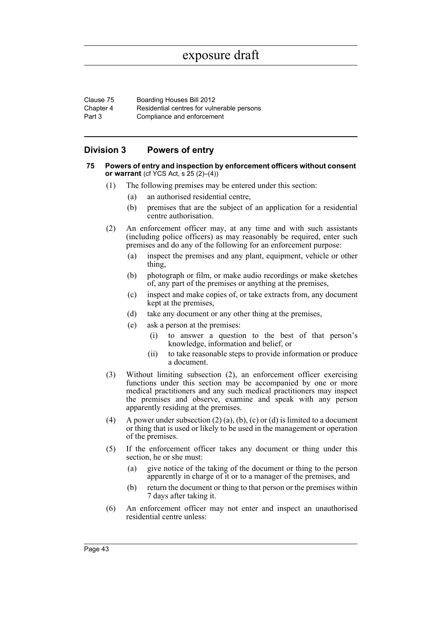| Clause 75 | Boarding Houses Bill 2012                  |
|-----------|--------------------------------------------|
| Chapter 4 | Residential centres for vulnerable persons |
| Part 3    | Compliance and enforcement                 |

# **Division 3 Powers of entry**

#### **75 Powers of entry and inspection by enforcement officers without consent or warrant** (cf YCS Act, s 25 (2)–(4))

- (1) The following premises may be entered under this section:
	- (a) an authorised residential centre,
	- (b) premises that are the subject of an application for a residential centre authorisation.
- (2) An enforcement officer may, at any time and with such assistants (including police officers) as may reasonably be required, enter such premises and do any of the following for an enforcement purpose:
	- (a) inspect the premises and any plant, equipment, vehicle or other thing,
	- (b) photograph or film, or make audio recordings or make sketches of, any part of the premises or anything at the premises,
	- (c) inspect and make copies of, or take extracts from, any document kept at the premises,
	- (d) take any document or any other thing at the premises,
	- (e) ask a person at the premises:
		- (i) to answer a question to the best of that person's knowledge, information and belief, or
		- (ii) to take reasonable steps to provide information or produce a document.
- (3) Without limiting subsection (2), an enforcement officer exercising functions under this section may be accompanied by one or more medical practitioners and any such medical practitioners may inspect the premises and observe, examine and speak with any person apparently residing at the premises.
- (4) A power under subsection  $(2)$  (a), (b), (c) or (d) is limited to a document or thing that is used or likely to be used in the management or operation of the premises.
- (5) If the enforcement officer takes any document or thing under this section, he or she must:
	- (a) give notice of the taking of the document or thing to the person apparently in charge of it or to a manager of the premises, and
	- (b) return the document or thing to that person or the premises within 7 days after taking it.
- (6) An enforcement officer may not enter and inspect an unauthorised residential centre unless: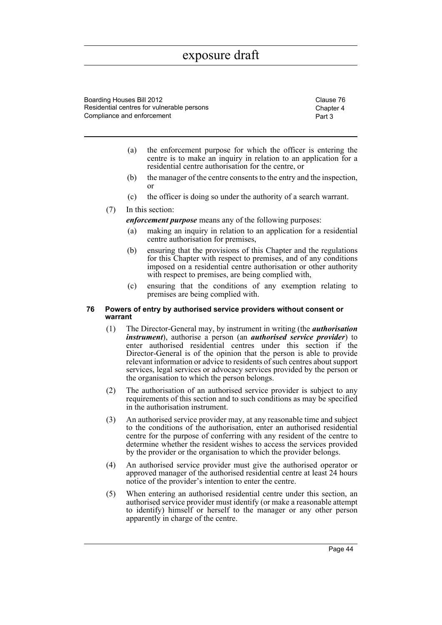Boarding Houses Bill 2012 Clause 76 Residential centres for vulnerable persons Compliance and enforcement

Chapter 4 Part 3

- (a) the enforcement purpose for which the officer is entering the centre is to make an inquiry in relation to an application for a residential centre authorisation for the centre, or
- (b) the manager of the centre consents to the entry and the inspection, or
- (c) the officer is doing so under the authority of a search warrant.

### (7) In this section:

*enforcement purpose* means any of the following purposes:

- (a) making an inquiry in relation to an application for a residential centre authorisation for premises,
- (b) ensuring that the provisions of this Chapter and the regulations for this Chapter with respect to premises, and of any conditions imposed on a residential centre authorisation or other authority with respect to premises, are being complied with,
- (c) ensuring that the conditions of any exemption relating to premises are being complied with.

#### **76 Powers of entry by authorised service providers without consent or warrant**

- (1) The Director-General may, by instrument in writing (the *authorisation instrument*), authorise a person (an *authorised service provider*) to enter authorised residential centres under this section if the Director-General is of the opinion that the person is able to provide relevant information or advice to residents of such centres about support services, legal services or advocacy services provided by the person or the organisation to which the person belongs.
- (2) The authorisation of an authorised service provider is subject to any requirements of this section and to such conditions as may be specified in the authorisation instrument.
- (3) An authorised service provider may, at any reasonable time and subject to the conditions of the authorisation, enter an authorised residential centre for the purpose of conferring with any resident of the centre to determine whether the resident wishes to access the services provided by the provider or the organisation to which the provider belongs.
- (4) An authorised service provider must give the authorised operator or approved manager of the authorised residential centre at least 24 hours notice of the provider's intention to enter the centre.
- (5) When entering an authorised residential centre under this section, an authorised service provider must identify (or make a reasonable attempt to identify) himself or herself to the manager or any other person apparently in charge of the centre.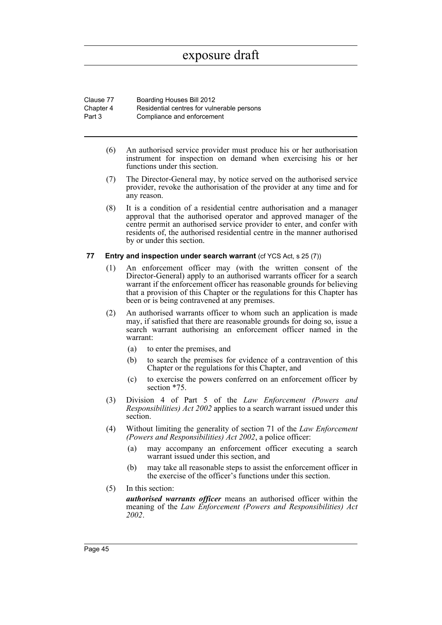| Clause 77 | Boarding Houses Bill 2012                  |
|-----------|--------------------------------------------|
| Chapter 4 | Residential centres for vulnerable persons |
| Part 3    | Compliance and enforcement                 |

- (6) An authorised service provider must produce his or her authorisation instrument for inspection on demand when exercising his or her functions under this section.
- (7) The Director-General may, by notice served on the authorised service provider, revoke the authorisation of the provider at any time and for any reason.
- (8) It is a condition of a residential centre authorisation and a manager approval that the authorised operator and approved manager of the centre permit an authorised service provider to enter, and confer with residents of, the authorised residential centre in the manner authorised by or under this section.

### **77 Entry and inspection under search warrant** (cf YCS Act, s 25 (7))

- (1) An enforcement officer may (with the written consent of the Director-General) apply to an authorised warrants officer for a search warrant if the enforcement officer has reasonable grounds for believing that a provision of this Chapter or the regulations for this Chapter has been or is being contravened at any premises.
- (2) An authorised warrants officer to whom such an application is made may, if satisfied that there are reasonable grounds for doing so, issue a search warrant authorising an enforcement officer named in the warrant:
	- (a) to enter the premises, and
	- (b) to search the premises for evidence of a contravention of this Chapter or the regulations for this Chapter, and
	- (c) to exercise the powers conferred on an enforcement officer by section \*75.
- (3) Division 4 of Part 5 of the *Law Enforcement (Powers and Responsibilities) Act 2002* applies to a search warrant issued under this section.
- (4) Without limiting the generality of section 71 of the *Law Enforcement (Powers and Responsibilities) Act 2002*, a police officer:
	- (a) may accompany an enforcement officer executing a search warrant issued under this section, and
	- (b) may take all reasonable steps to assist the enforcement officer in the exercise of the officer's functions under this section.
- (5) In this section:

*authorised warrants officer* means an authorised officer within the meaning of the *Law Enforcement (Powers and Responsibilities) Act 2002*.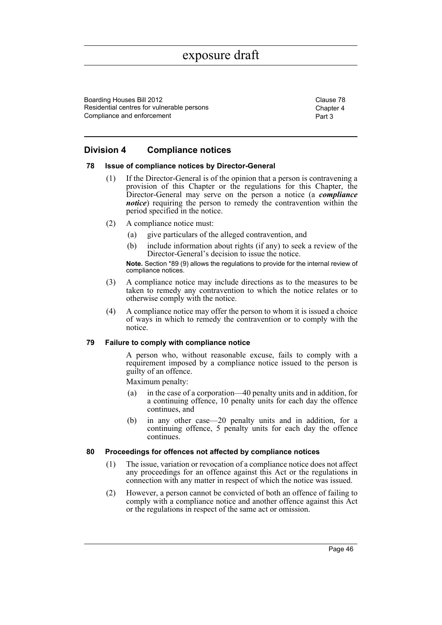Boarding Houses Bill 2012 Clause 78 Residential centres for vulnerable persons Compliance and enforcement

Chapter 4 Part 3

# **Division 4 Compliance notices**

#### **78 Issue of compliance notices by Director-General**

- (1) If the Director-General is of the opinion that a person is contravening a provision of this Chapter or the regulations for this Chapter, the Director-General may serve on the person a notice (a *compliance notice*) requiring the person to remedy the contravention within the period specified in the notice.
- (2) A compliance notice must:
	- (a) give particulars of the alleged contravention, and
	- (b) include information about rights (if any) to seek a review of the Director-General's decision to issue the notice.

**Note.** Section \*89 (9) allows the regulations to provide for the internal review of compliance notices.

- (3) A compliance notice may include directions as to the measures to be taken to remedy any contravention to which the notice relates or to otherwise comply with the notice.
- (4) A compliance notice may offer the person to whom it is issued a choice of ways in which to remedy the contravention or to comply with the notice.

#### **79 Failure to comply with compliance notice**

A person who, without reasonable excuse, fails to comply with a requirement imposed by a compliance notice issued to the person is guilty of an offence.

Maximum penalty:

- (a) in the case of a corporation—40 penalty units and in addition, for a continuing offence, 10 penalty units for each day the offence continues, and
- (b) in any other case—20 penalty units and in addition, for a continuing offence, 5 penalty units for each day the offence continues.

## **80 Proceedings for offences not affected by compliance notices**

- (1) The issue, variation or revocation of a compliance notice does not affect any proceedings for an offence against this Act or the regulations in connection with any matter in respect of which the notice was issued.
- (2) However, a person cannot be convicted of both an offence of failing to comply with a compliance notice and another offence against this Act or the regulations in respect of the same act or omission.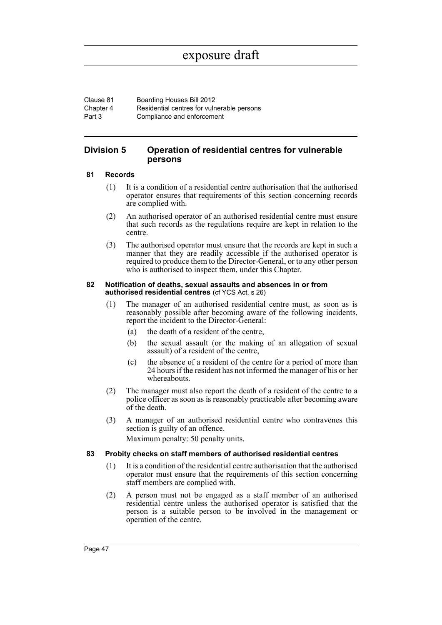Clause 81 Boarding Houses Bill 2012 Chapter 4 Part 3 Residential centres for vulnerable persons Compliance and enforcement

## **Division 5 Operation of residential centres for vulnerable persons**

### **81 Records**

- (1) It is a condition of a residential centre authorisation that the authorised operator ensures that requirements of this section concerning records are complied with.
- (2) An authorised operator of an authorised residential centre must ensure that such records as the regulations require are kept in relation to the centre.
- (3) The authorised operator must ensure that the records are kept in such a manner that they are readily accessible if the authorised operator is required to produce them to the Director-General, or to any other person who is authorised to inspect them, under this Chapter.

#### **82 Notification of deaths, sexual assaults and absences in or from authorised residential centres** (cf YCS Act, s 26)

- (1) The manager of an authorised residential centre must, as soon as is reasonably possible after becoming aware of the following incidents, report the incident to the Director-General:
	- (a) the death of a resident of the centre,
	- (b) the sexual assault (or the making of an allegation of sexual assault) of a resident of the centre,
	- (c) the absence of a resident of the centre for a period of more than 24 hours if the resident has not informed the manager of his or her whereabouts.
- (2) The manager must also report the death of a resident of the centre to a police officer as soon as is reasonably practicable after becoming aware of the death.
- (3) A manager of an authorised residential centre who contravenes this section is guilty of an offence.

Maximum penalty: 50 penalty units.

#### **83 Probity checks on staff members of authorised residential centres**

- (1) It is a condition of the residential centre authorisation that the authorised operator must ensure that the requirements of this section concerning staff members are complied with.
- (2) A person must not be engaged as a staff member of an authorised residential centre unless the authorised operator is satisfied that the person is a suitable person to be involved in the management or operation of the centre.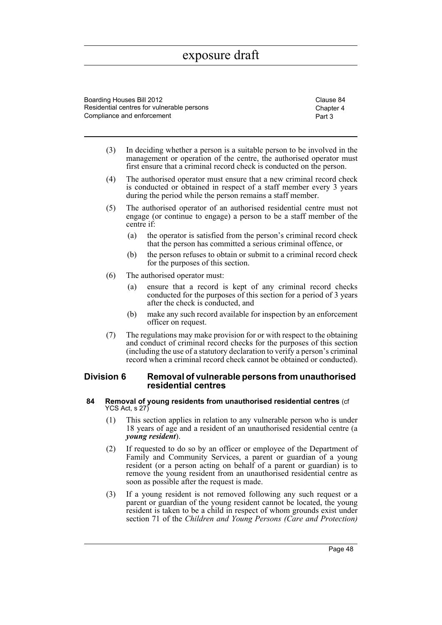Boarding Houses Bill 2012 Clause 84 Residential centres for vulnerable persons Compliance and enforcement

Chapter 4 Part 3

- (3) In deciding whether a person is a suitable person to be involved in the management or operation of the centre, the authorised operator must first ensure that a criminal record check is conducted on the person.
- (4) The authorised operator must ensure that a new criminal record check is conducted or obtained in respect of a staff member every 3 years during the period while the person remains a staff member.
- (5) The authorised operator of an authorised residential centre must not engage (or continue to engage) a person to be a staff member of the centre if:
	- (a) the operator is satisfied from the person's criminal record check that the person has committed a serious criminal offence, or
	- (b) the person refuses to obtain or submit to a criminal record check for the purposes of this section.
- (6) The authorised operator must:
	- (a) ensure that a record is kept of any criminal record checks conducted for the purposes of this section for a period of 3 years after the check is conducted, and
	- (b) make any such record available for inspection by an enforcement officer on request.
- (7) The regulations may make provision for or with respect to the obtaining and conduct of criminal record checks for the purposes of this section (including the use of a statutory declaration to verify a person's criminal record when a criminal record check cannot be obtained or conducted).

## **Division 6 Removal of vulnerable persons from unauthorised residential centres**

#### **84 Removal of young residents from unauthorised residential centres** (cf YCS Act, s 27)

- (1) This section applies in relation to any vulnerable person who is under 18 years of age and a resident of an unauthorised residential centre (a *young resident*).
- (2) If requested to do so by an officer or employee of the Department of Family and Community Services, a parent or guardian of a young resident (or a person acting on behalf of a parent or guardian) is to remove the young resident from an unauthorised residential centre as soon as possible after the request is made.
- (3) If a young resident is not removed following any such request or a parent or guardian of the young resident cannot be located, the young resident is taken to be a child in respect of whom grounds exist under section 71 of the *Children and Young Persons (Care and Protection)*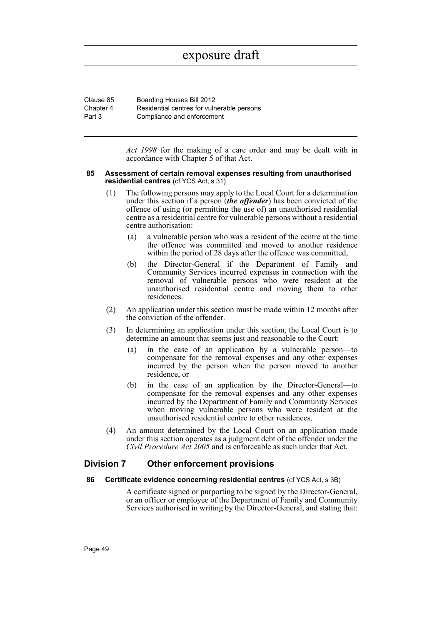| Clause 85 | Boarding Houses Bill 2012                  |
|-----------|--------------------------------------------|
| Chapter 4 | Residential centres for vulnerable persons |
| Part 3    | Compliance and enforcement                 |

*Act 1998* for the making of a care order and may be dealt with in accordance with Chapter 5 of that Act.

#### **85 Assessment of certain removal expenses resulting from unauthorised residential centres** (cf YCS Act, s 31)

- (1) The following persons may apply to the Local Court for a determination under this section if a person (*the offender*) has been convicted of the offence of using (or permitting the use of) an unauthorised residential centre as a residential centre for vulnerable persons without a residential centre authorisation:
	- (a) a vulnerable person who was a resident of the centre at the time the offence was committed and moved to another residence within the period of 28 days after the offence was committed,
	- (b) the Director-General if the Department of Family and Community Services incurred expenses in connection with the removal of vulnerable persons who were resident at the unauthorised residential centre and moving them to other residences.
- (2) An application under this section must be made within 12 months after the conviction of the offender.
- (3) In determining an application under this section, the Local Court is to determine an amount that seems just and reasonable to the Court:
	- (a) in the case of an application by a vulnerable person—to compensate for the removal expenses and any other expenses incurred by the person when the person moved to another residence, or
	- (b) in the case of an application by the Director-General—to compensate for the removal expenses and any other expenses incurred by the Department of Family and Community Services when moving vulnerable persons who were resident at the unauthorised residential centre to other residences.
- (4) An amount determined by the Local Court on an application made under this section operates as a judgment debt of the offender under the *Civil Procedure Act 2005* and is enforceable as such under that Act.

# **Division 7 Other enforcement provisions**

#### **86 Certificate evidence concerning residential centres** (cf YCS Act, s 3B)

A certificate signed or purporting to be signed by the Director-General, or an officer or employee of the Department of Family and Community Services authorised in writing by the Director-General, and stating that: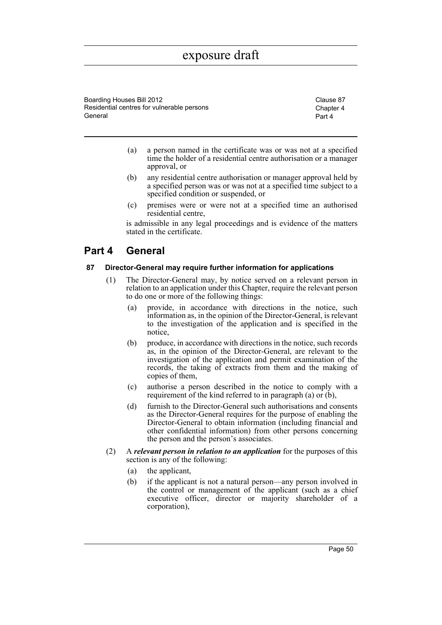Boarding Houses Bill 2012 Clause 87 Residential centres for vulnerable persons General

Chapter 4 Part 4

- (a) a person named in the certificate was or was not at a specified time the holder of a residential centre authorisation or a manager approval, or
- (b) any residential centre authorisation or manager approval held by a specified person was or was not at a specified time subject to a specified condition or suspended, or
- (c) premises were or were not at a specified time an authorised residential centre,

is admissible in any legal proceedings and is evidence of the matters stated in the certificate.

# **Part 4 General**

## **87 Director-General may require further information for applications**

- (1) The Director-General may, by notice served on a relevant person in relation to an application under this Chapter, require the relevant person to do one or more of the following things:
	- (a) provide, in accordance with directions in the notice, such information as, in the opinion of the Director-General, is relevant to the investigation of the application and is specified in the notice,
	- (b) produce, in accordance with directions in the notice, such records as, in the opinion of the Director-General, are relevant to the investigation of the application and permit examination of the records, the taking of extracts from them and the making of copies of them,
	- (c) authorise a person described in the notice to comply with a requirement of the kind referred to in paragraph (a) or (b),
	- (d) furnish to the Director-General such authorisations and consents as the Director-General requires for the purpose of enabling the Director-General to obtain information (including financial and other confidential information) from other persons concerning the person and the person's associates.
- (2) A *relevant person in relation to an application* for the purposes of this section is any of the following:
	- (a) the applicant,
	- (b) if the applicant is not a natural person—any person involved in the control or management of the applicant (such as a chief executive officer, director or majority shareholder of a corporation),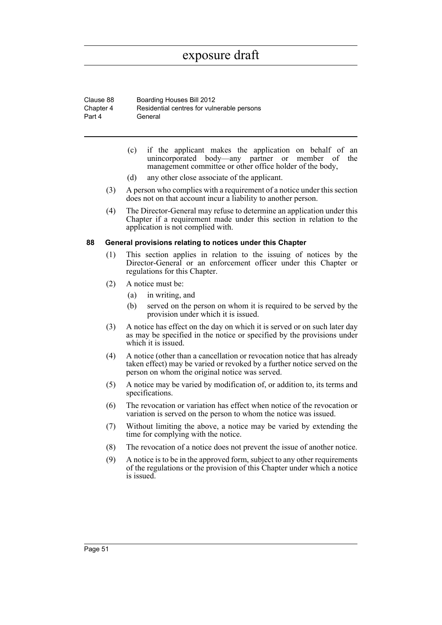Clause 88 Boarding Houses Bill 2012 Chapter 4 Part 4 Residential centres for vulnerable persons General

- (c) if the applicant makes the application on behalf of an unincorporated body—any partner or member of the management committee or other office holder of the body,
- (d) any other close associate of the applicant.
- (3) A person who complies with a requirement of a notice under this section does not on that account incur a liability to another person.
- (4) The Director-General may refuse to determine an application under this Chapter if a requirement made under this section in relation to the application is not complied with.

#### **88 General provisions relating to notices under this Chapter**

- (1) This section applies in relation to the issuing of notices by the Director-General or an enforcement officer under this Chapter or regulations for this Chapter.
- (2) A notice must be:
	- (a) in writing, and
	- (b) served on the person on whom it is required to be served by the provision under which it is issued.
- (3) A notice has effect on the day on which it is served or on such later day as may be specified in the notice or specified by the provisions under which it is issued.
- (4) A notice (other than a cancellation or revocation notice that has already taken effect) may be varied or revoked by a further notice served on the person on whom the original notice was served.
- (5) A notice may be varied by modification of, or addition to, its terms and specifications.
- (6) The revocation or variation has effect when notice of the revocation or variation is served on the person to whom the notice was issued.
- (7) Without limiting the above, a notice may be varied by extending the time for complying with the notice.
- (8) The revocation of a notice does not prevent the issue of another notice.
- (9) A notice is to be in the approved form, subject to any other requirements of the regulations or the provision of this Chapter under which a notice is issued.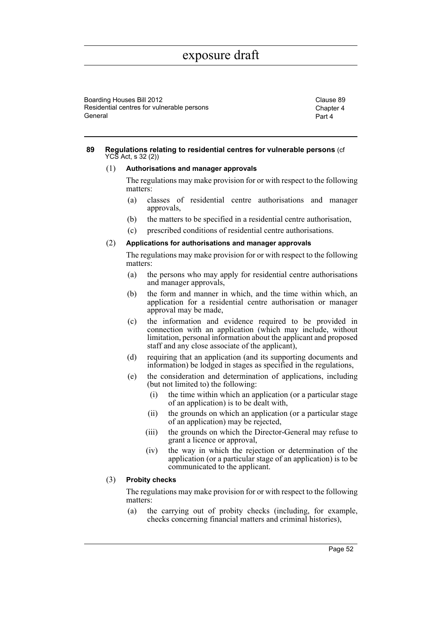Boarding Houses Bill 2012 Clause 89 Residential centres for vulnerable persons General

Chapter 4 Part 4

#### **89 Regulations relating to residential centres for vulnerable persons** (cf YCS Act, s 32 (2))

#### (1) **Authorisations and manager approvals**

The regulations may make provision for or with respect to the following matters:

- (a) classes of residential centre authorisations and manager approvals,
- (b) the matters to be specified in a residential centre authorisation,
- (c) prescribed conditions of residential centre authorisations.

#### (2) **Applications for authorisations and manager approvals**

The regulations may make provision for or with respect to the following matters:

- (a) the persons who may apply for residential centre authorisations and manager approvals,
- (b) the form and manner in which, and the time within which, an application for a residential centre authorisation or manager approval may be made,
- (c) the information and evidence required to be provided in connection with an application (which may include, without limitation, personal information about the applicant and proposed staff and any close associate of the applicant),
- (d) requiring that an application (and its supporting documents and information) be lodged in stages as specified in the regulations,
- (e) the consideration and determination of applications, including (but not limited to) the following:
	- (i) the time within which an application (or a particular stage of an application) is to be dealt with,
	- (ii) the grounds on which an application (or a particular stage of an application) may be rejected,
	- (iii) the grounds on which the Director-General may refuse to grant a licence or approval,
	- (iv) the way in which the rejection or determination of the application (or a particular stage of an application) is to be communicated to the applicant.

#### (3) **Probity checks**

The regulations may make provision for or with respect to the following matters:

(a) the carrying out of probity checks (including, for example, checks concerning financial matters and criminal histories),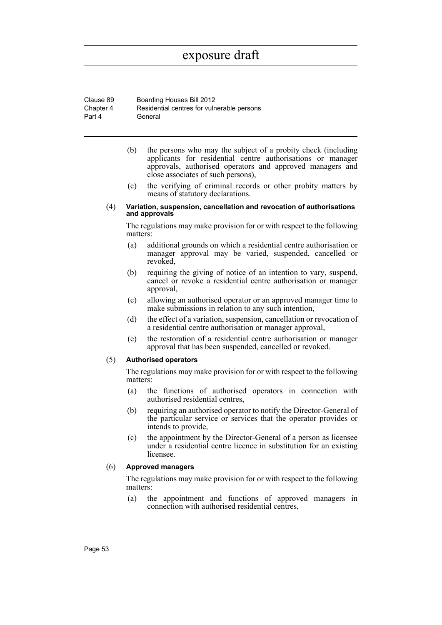Clause 89 Boarding Houses Bill 2012 Chapter 4 Part 4 Residential centres for vulnerable persons General

- (b) the persons who may the subject of a probity check (including applicants for residential centre authorisations or manager approvals, authorised operators and approved managers and close associates of such persons),
- (c) the verifying of criminal records or other probity matters by means of statutory declarations.

#### (4) **Variation, suspension, cancellation and revocation of authorisations and approvals**

The regulations may make provision for or with respect to the following matters:

- (a) additional grounds on which a residential centre authorisation or manager approval may be varied, suspended, cancelled or revoked,
- (b) requiring the giving of notice of an intention to vary, suspend, cancel or revoke a residential centre authorisation or manager approval,
- (c) allowing an authorised operator or an approved manager time to make submissions in relation to any such intention,
- (d) the effect of a variation, suspension, cancellation or revocation of a residential centre authorisation or manager approval,
- (e) the restoration of a residential centre authorisation or manager approval that has been suspended, cancelled or revoked.

#### (5) **Authorised operators**

The regulations may make provision for or with respect to the following matters:

- (a) the functions of authorised operators in connection with authorised residential centres,
- (b) requiring an authorised operator to notify the Director-General of the particular service or services that the operator provides or intends to provide,
- (c) the appointment by the Director-General of a person as licensee under a residential centre licence in substitution for an existing licensee.

## (6) **Approved managers**

The regulations may make provision for or with respect to the following matters:

(a) the appointment and functions of approved managers in connection with authorised residential centres,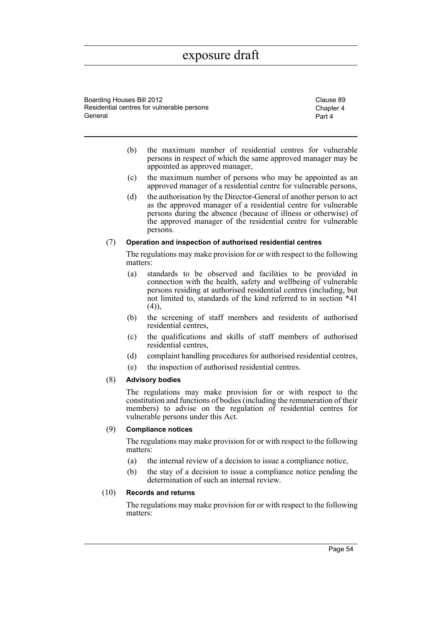Boarding Houses Bill 2012 Clause 89 Residential centres for vulnerable persons General

Chapter 4 Part 4

- (b) the maximum number of residential centres for vulnerable persons in respect of which the same approved manager may be appointed as approved manager,
- (c) the maximum number of persons who may be appointed as an approved manager of a residential centre for vulnerable persons,
- (d) the authorisation by the Director-General of another person to act as the approved manager of a residential centre for vulnerable persons during the absence (because of illness or otherwise) of the approved manager of the residential centre for vulnerable persons.

#### (7) **Operation and inspection of authorised residential centres**

The regulations may make provision for or with respect to the following matters:

- (a) standards to be observed and facilities to be provided in connection with the health, safety and wellbeing of vulnerable persons residing at authorised residential centres (including, but not limited to, standards of the kind referred to in section \*41  $(4)$ ),
- (b) the screening of staff members and residents of authorised residential centres,
- (c) the qualifications and skills of staff members of authorised residential centres,
- (d) complaint handling procedures for authorised residential centres,
- (e) the inspection of authorised residential centres.

## (8) **Advisory bodies**

The regulations may make provision for or with respect to the constitution and functions of bodies (including the remuneration of their members) to advise on the regulation of residential centres for vulnerable persons under this Act.

### (9) **Compliance notices**

The regulations may make provision for or with respect to the following matters:

- (a) the internal review of a decision to issue a compliance notice,
- (b) the stay of a decision to issue a compliance notice pending the determination of such an internal review.

## (10) **Records and returns**

The regulations may make provision for or with respect to the following matters: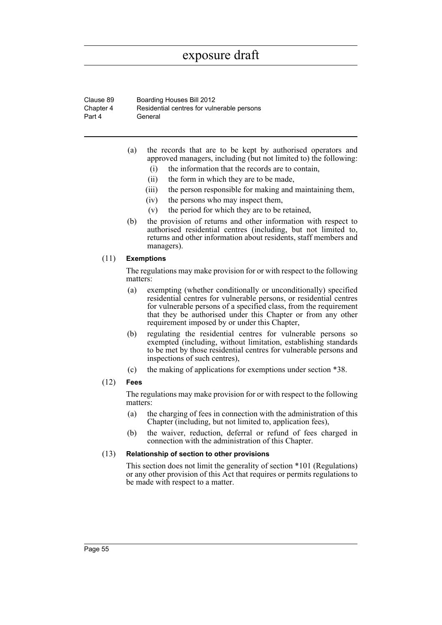Clause 89 Boarding Houses Bill 2012 Chapter 4 Part 4 Residential centres for vulnerable persons General

- (a) the records that are to be kept by authorised operators and approved managers, including (but not limited to) the following:
	- (i) the information that the records are to contain,
	- (ii) the form in which they are to be made,
	- (iii) the person responsible for making and maintaining them,
	- (iv) the persons who may inspect them,
	- (v) the period for which they are to be retained,
- (b) the provision of returns and other information with respect to authorised residential centres (including, but not limited to, returns and other information about residents, staff members and managers).

### (11) **Exemptions**

The regulations may make provision for or with respect to the following matters:

- (a) exempting (whether conditionally or unconditionally) specified residential centres for vulnerable persons, or residential centres for vulnerable persons of a specified class, from the requirement that they be authorised under this Chapter or from any other requirement imposed by or under this Chapter,
- (b) regulating the residential centres for vulnerable persons so exempted (including, without limitation, establishing standards to be met by those residential centres for vulnerable persons and inspections of such centres),
- (c) the making of applications for exemptions under section \*38.

## (12) **Fees**

The regulations may make provision for or with respect to the following matters:

- (a) the charging of fees in connection with the administration of this Chapter (including, but not limited to, application fees),
- (b) the waiver, reduction, deferral or refund of fees charged in connection with the administration of this Chapter.

#### (13) **Relationship of section to other provisions**

This section does not limit the generality of section \*101 (Regulations) or any other provision of this Act that requires or permits regulations to be made with respect to a matter.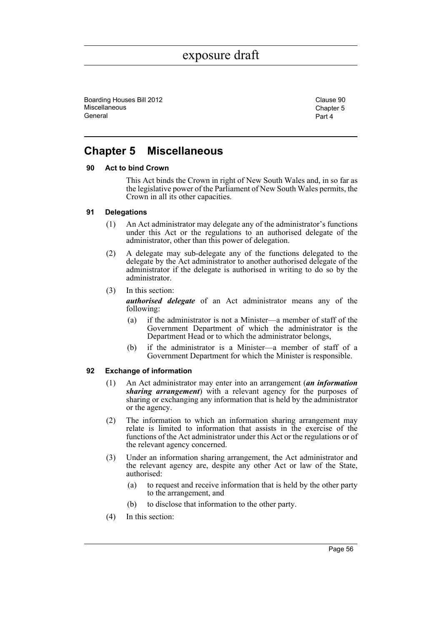Boarding Houses Bill 2012 Clause 90 **Miscellaneous** General

Chapter 5 Part 4

# **Chapter 5 Miscellaneous**

### **90 Act to bind Crown**

This Act binds the Crown in right of New South Wales and, in so far as the legislative power of the Parliament of New South Wales permits, the Crown in all its other capacities.

### **91 Delegations**

- (1) An Act administrator may delegate any of the administrator's functions under this Act or the regulations to an authorised delegate of the administrator, other than this power of delegation.
- (2) A delegate may sub-delegate any of the functions delegated to the delegate by the Act administrator to another authorised delegate of the administrator if the delegate is authorised in writing to do so by the administrator.
- (3) In this section:

*authorised delegate* of an Act administrator means any of the following:

- (a) if the administrator is not a Minister—a member of staff of the Government Department of which the administrator is the Department Head or to which the administrator belongs,
- (b) if the administrator is a Minister—a member of staff of a Government Department for which the Minister is responsible.

## **92 Exchange of information**

- (1) An Act administrator may enter into an arrangement (*an information sharing arrangement*) with a relevant agency for the purposes of sharing or exchanging any information that is held by the administrator or the agency.
- (2) The information to which an information sharing arrangement may relate is limited to information that assists in the exercise of the functions of the Act administrator under this Act or the regulations or of the relevant agency concerned.
- (3) Under an information sharing arrangement, the Act administrator and the relevant agency are, despite any other Act or law of the State, authorised:
	- (a) to request and receive information that is held by the other party to the arrangement, and
	- (b) to disclose that information to the other party.
- (4) In this section: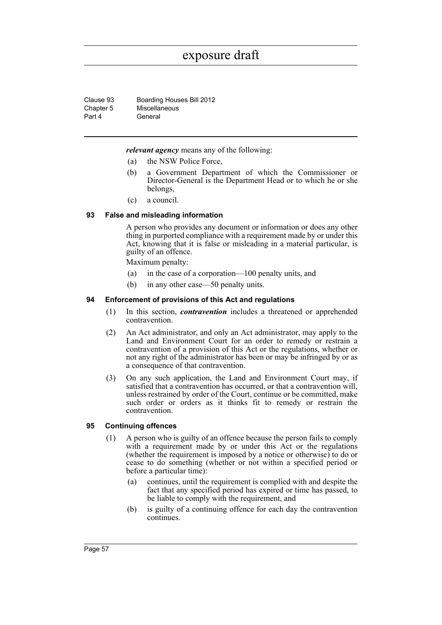Clause 93 Boarding Houses Bill 2012 Chapter 5 Part 4 Miscellaneous General

*relevant agency* means any of the following:

- (a) the NSW Police Force,
- (b) a Government Department of which the Commissioner or Director-General is the Department Head or to which he or she belongs,
- (c) a council.

#### **93 False and misleading information**

A person who provides any document or information or does any other thing in purported compliance with a requirement made by or under this Act, knowing that it is false or misleading in a material particular, is guilty of an offence.

Maximum penalty:

- (a) in the case of a corporation—100 penalty units, and
- (b) in any other case—50 penalty units.

#### **94 Enforcement of provisions of this Act and regulations**

- (1) In this section, *contravention* includes a threatened or apprehended contravention.
- (2) An Act administrator, and only an Act administrator, may apply to the Land and Environment Court for an order to remedy or restrain a contravention of a provision of this Act or the regulations, whether or not any right of the administrator has been or may be infringed by or as a consequence of that contravention.
- (3) On any such application, the Land and Environment Court may, if satisfied that a contravention has occurred, or that a contravention will, unless restrained by order of the Court, continue or be committed, make such order or orders as it thinks fit to remedy or restrain the contravention.

### **95 Continuing offences**

- (1) A person who is guilty of an offence because the person fails to comply with a requirement made by or under this Act or the regulations (whether the requirement is imposed by a notice or otherwise) to do or cease to do something (whether or not within a specified period or before a particular time):
	- (a) continues, until the requirement is complied with and despite the fact that any specified period has expired or time has passed, to be liable to comply with the requirement, and
	- (b) is guilty of a continuing offence for each day the contravention continues.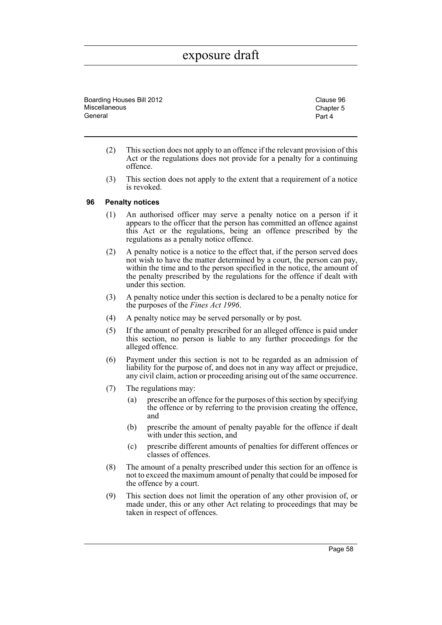Boarding Houses Bill 2012 Clause 96 **Miscellaneous** General

Chapter 5 Part 4

- (2) This section does not apply to an offence if the relevant provision of this Act or the regulations does not provide for a penalty for a continuing offence.
- (3) This section does not apply to the extent that a requirement of a notice is revoked.

### **96 Penalty notices**

- (1) An authorised officer may serve a penalty notice on a person if it appears to the officer that the person has committed an offence against this Act or the regulations, being an offence prescribed by the regulations as a penalty notice offence.
- (2) A penalty notice is a notice to the effect that, if the person served does not wish to have the matter determined by a court, the person can pay, within the time and to the person specified in the notice, the amount of the penalty prescribed by the regulations for the offence if dealt with under this section.
- (3) A penalty notice under this section is declared to be a penalty notice for the purposes of the *Fines Act 1996*.
- (4) A penalty notice may be served personally or by post.
- (5) If the amount of penalty prescribed for an alleged offence is paid under this section, no person is liable to any further proceedings for the alleged offence.
- (6) Payment under this section is not to be regarded as an admission of liability for the purpose of, and does not in any way affect or prejudice, any civil claim, action or proceeding arising out of the same occurrence.
- (7) The regulations may:
	- (a) prescribe an offence for the purposes of this section by specifying the offence or by referring to the provision creating the offence, and
	- (b) prescribe the amount of penalty payable for the offence if dealt with under this section, and
	- (c) prescribe different amounts of penalties for different offences or classes of offences.
- (8) The amount of a penalty prescribed under this section for an offence is not to exceed the maximum amount of penalty that could be imposed for the offence by a court.
- (9) This section does not limit the operation of any other provision of, or made under, this or any other Act relating to proceedings that may be taken in respect of offences.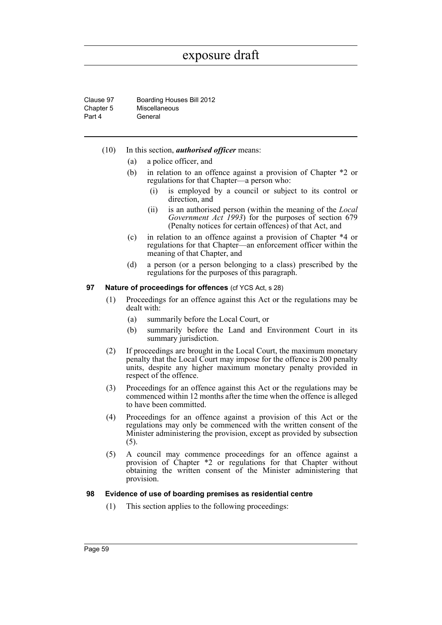Clause 97 Boarding Houses Bill 2012 Chapter 5 Part 4 Miscellaneous General

- (10) In this section, *authorised officer* means:
	- (a) a police officer, and
	- (b) in relation to an offence against a provision of Chapter \*2 or regulations for that Chapter—a person who:
		- (i) is employed by a council or subject to its control or direction, and
		- (ii) is an authorised person (within the meaning of the *Local Government Act 1993*) for the purposes of section 679 (Penalty notices for certain offences) of that Act, and
	- (c) in relation to an offence against a provision of Chapter \*4 or regulations for that Chapter—an enforcement officer within the meaning of that Chapter, and
	- (d) a person (or a person belonging to a class) prescribed by the regulations for the purposes of this paragraph.

#### **97 Nature of proceedings for offences** (cf YCS Act, s 28)

- (1) Proceedings for an offence against this Act or the regulations may be dealt with:
	- (a) summarily before the Local Court, or
	- (b) summarily before the Land and Environment Court in its summary jurisdiction.
- (2) If proceedings are brought in the Local Court, the maximum monetary penalty that the Local Court may impose for the offence is 200 penalty units, despite any higher maximum monetary penalty provided in respect of the offence.
- (3) Proceedings for an offence against this Act or the regulations may be commenced within 12 months after the time when the offence is alleged to have been committed.
- (4) Proceedings for an offence against a provision of this Act or the regulations may only be commenced with the written consent of the Minister administering the provision, except as provided by subsection (5).
- (5) A council may commence proceedings for an offence against a provision of Chapter \*2 or regulations for that Chapter without obtaining the written consent of the Minister administering that provision.

## **98 Evidence of use of boarding premises as residential centre**

(1) This section applies to the following proceedings: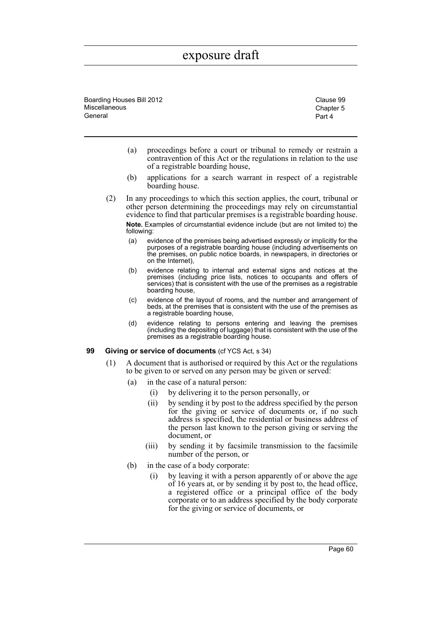Boarding Houses Bill 2012 Clause 99 **Miscellaneous** General

Chapter 5 Part 4

- (a) proceedings before a court or tribunal to remedy or restrain a contravention of this Act or the regulations in relation to the use of a registrable boarding house,
- (b) applications for a search warrant in respect of a registrable boarding house.
- (2) In any proceedings to which this section applies, the court, tribunal or other person determining the proceedings may rely on circumstantial evidence to find that particular premises is a registrable boarding house. **Note.** Examples of circumstantial evidence include (but are not limited to) the following:
	- (a) evidence of the premises being advertised expressly or implicitly for the purposes of a registrable boarding house (including advertisements on the premises, on public notice boards, in newspapers, in directories or on the Internet),
	- (b) evidence relating to internal and external signs and notices at the premises (including price lists, notices to occupants and offers of services) that is consistent with the use of the premises as a registrable boarding house,
	- (c) evidence of the layout of rooms, and the number and arrangement of beds, at the premises that is consistent with the use of the premises as a registrable boarding house,
	- (d) evidence relating to persons entering and leaving the premises (including the depositing of luggage) that is consistent with the use of the premises as a registrable boarding house.

#### **99 Giving or service of documents** (cf YCS Act, s 34)

- (1) A document that is authorised or required by this Act or the regulations to be given to or served on any person may be given or served:
	- (a) in the case of a natural person:
		- (i) by delivering it to the person personally, or
		- (ii) by sending it by post to the address specified by the person for the giving or service of documents or, if no such address is specified, the residential or business address of the person last known to the person giving or serving the document, or
		- (iii) by sending it by facsimile transmission to the facsimile number of the person, or
	- (b) in the case of a body corporate:
		- (i) by leaving it with a person apparently of or above the age of 16 years at, or by sending it by post to, the head office, a registered office or a principal office of the body corporate or to an address specified by the body corporate for the giving or service of documents, or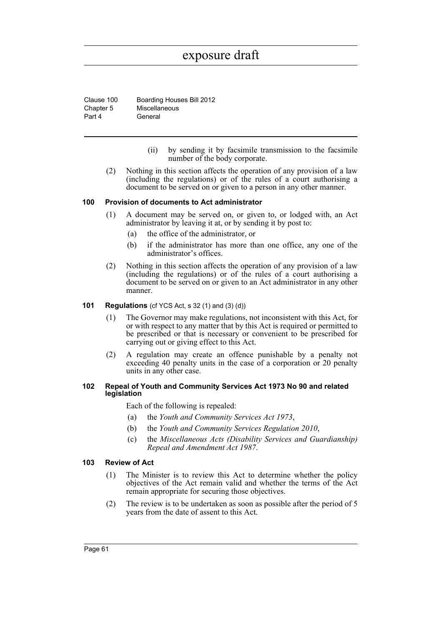Clause 100 Boarding Houses Bill 2012 Chapter 5 Part 4 Miscellaneous General

- (ii) by sending it by facsimile transmission to the facsimile number of the body corporate.
- (2) Nothing in this section affects the operation of any provision of a law (including the regulations) or of the rules of a court authorising a document to be served on or given to a person in any other manner.

#### **100 Provision of documents to Act administrator**

- (1) A document may be served on, or given to, or lodged with, an Act administrator by leaving it at, or by sending it by post to:
	- (a) the office of the administrator, or
	- (b) if the administrator has more than one office, any one of the administrator's offices.
- (2) Nothing in this section affects the operation of any provision of a law (including the regulations) or of the rules of a court authorising a document to be served on or given to an Act administrator in any other manner.

### **101 Regulations** (cf YCS Act, s 32 (1) and (3) (d))

- (1) The Governor may make regulations, not inconsistent with this Act, for or with respect to any matter that by this Act is required or permitted to be prescribed or that is necessary or convenient to be prescribed for carrying out or giving effect to this Act.
- (2) A regulation may create an offence punishable by a penalty not exceeding 40 penalty units in the case of a corporation or 20 penalty units in any other case.

#### **102 Repeal of Youth and Community Services Act 1973 No 90 and related legislation**

Each of the following is repealed:

- (a) the *Youth and Community Services Act 1973*,
- (b) the *Youth and Community Services Regulation 2010*,
- (c) the *Miscellaneous Acts (Disability Services and Guardianship) Repeal and Amendment Act 1987*.

#### **103 Review of Act**

- (1) The Minister is to review this Act to determine whether the policy objectives of the Act remain valid and whether the terms of the Act remain appropriate for securing those objectives.
- (2) The review is to be undertaken as soon as possible after the period of 5 years from the date of assent to this Act.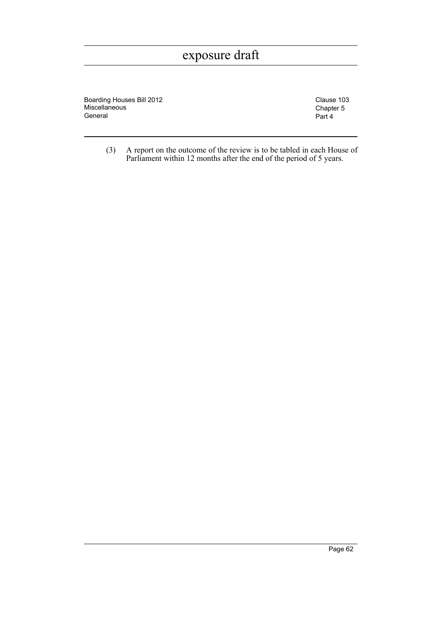Boarding Houses Bill 2012 Clause 103 Miscellaneous General

Chapter 5 Part 4

(3) A report on the outcome of the review is to be tabled in each House of Parliament within 12 months after the end of the period of 5 years.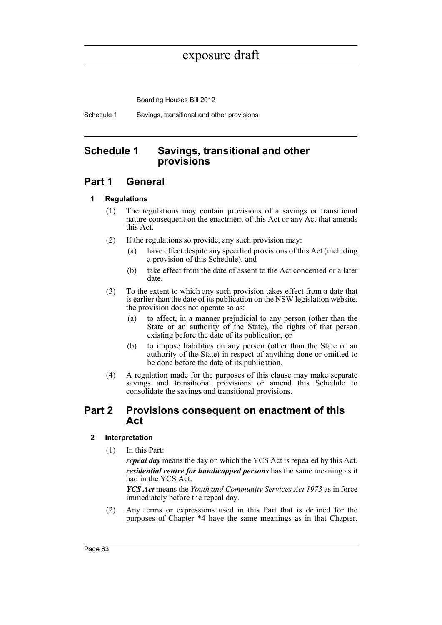Boarding Houses Bill 2012

Schedule 1 Savings, transitional and other provisions

# **Schedule 1 Savings, transitional and other provisions**

# **Part 1 General**

## **1 Regulations**

- (1) The regulations may contain provisions of a savings or transitional nature consequent on the enactment of this Act or any Act that amends this Act.
- (2) If the regulations so provide, any such provision may:
	- (a) have effect despite any specified provisions of this Act (including a provision of this Schedule), and
	- (b) take effect from the date of assent to the Act concerned or a later date.
- (3) To the extent to which any such provision takes effect from a date that is earlier than the date of its publication on the NSW legislation website, the provision does not operate so as:
	- (a) to affect, in a manner prejudicial to any person (other than the State or an authority of the State), the rights of that person existing before the date of its publication, or
	- (b) to impose liabilities on any person (other than the State or an authority of the State) in respect of anything done or omitted to be done before the date of its publication.
- (4) A regulation made for the purposes of this clause may make separate savings and transitional provisions or amend this Schedule to consolidate the savings and transitional provisions.

# **Part 2 Provisions consequent on enactment of this Act**

## **2 Interpretation**

(1) In this Part:

*repeal day* means the day on which the YCS Act is repealed by this Act. *residential centre for handicapped persons* has the same meaning as it had in the YCS Act.

*YCS Act* means the *Youth and Community Services Act 1973* as in force immediately before the repeal day.

(2) Any terms or expressions used in this Part that is defined for the purposes of Chapter \*4 have the same meanings as in that Chapter,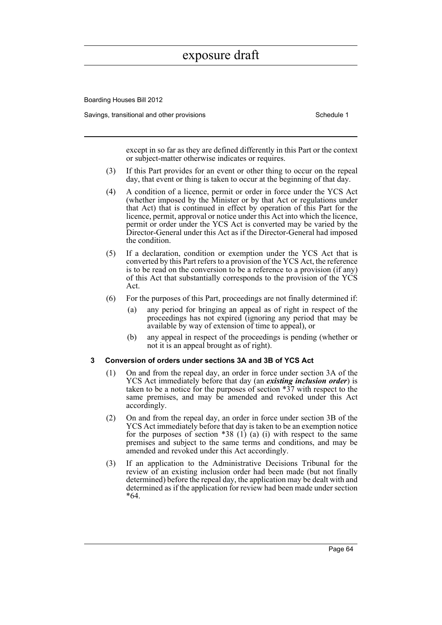Boarding Houses Bill 2012

Savings, transitional and other provisions Schedule 1 and Schedule 1

except in so far as they are defined differently in this Part or the context or subject-matter otherwise indicates or requires.

- (3) If this Part provides for an event or other thing to occur on the repeal day, that event or thing is taken to occur at the beginning of that day.
- (4) A condition of a licence, permit or order in force under the YCS Act (whether imposed by the Minister or by that Act or regulations under that Act) that is continued in effect by operation of this Part for the licence, permit, approval or notice under this Act into which the licence, permit or order under the YCS Act is converted may be varied by the Director-General under this Act as if the Director-General had imposed the condition.
- (5) If a declaration, condition or exemption under the YCS Act that is converted by this Part refers to a provision of the YCS Act, the reference is to be read on the conversion to be a reference to a provision (if any) of this Act that substantially corresponds to the provision of the YCS Act.
- (6) For the purposes of this Part, proceedings are not finally determined if:
	- (a) any period for bringing an appeal as of right in respect of the proceedings has not expired (ignoring any period that may be available by way of extension of time to appeal), or
	- (b) any appeal in respect of the proceedings is pending (whether or not it is an appeal brought as of right).

#### **3 Conversion of orders under sections 3A and 3B of YCS Act**

- (1) On and from the repeal day, an order in force under section 3A of the YCS Act immediately before that day (an *existing inclusion order*) is taken to be a notice for the purposes of section \*37 with respect to the same premises, and may be amended and revoked under this Act accordingly.
- (2) On and from the repeal day, an order in force under section 3B of the YCS Act immediately before that day is taken to be an exemption notice for the purposes of section  $*38$  (1) (a) (i) with respect to the same premises and subject to the same terms and conditions, and may be amended and revoked under this Act accordingly.
- (3) If an application to the Administrative Decisions Tribunal for the review of an existing inclusion order had been made (but not finally determined) before the repeal day, the application may be dealt with and determined as if the application for review had been made under section \*64.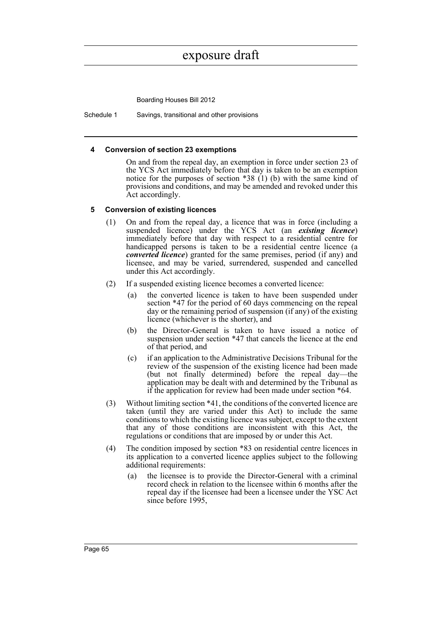Boarding Houses Bill 2012

Schedule 1 Savings, transitional and other provisions

### **4 Conversion of section 23 exemptions**

On and from the repeal day, an exemption in force under section 23 of the YCS Act immediately before that day is taken to be an exemption notice for the purposes of section  $*38$  (1) (b) with the same kind of provisions and conditions, and may be amended and revoked under this Act accordingly.

### **5 Conversion of existing licences**

- (1) On and from the repeal day, a licence that was in force (including a suspended licence) under the YCS Act (an *existing licence*) immediately before that day with respect to a residential centre for handicapped persons is taken to be a residential centre licence (a *converted licence*) granted for the same premises, period (if any) and licensee, and may be varied, surrendered, suspended and cancelled under this Act accordingly.
- (2) If a suspended existing licence becomes a converted licence:
	- (a) the converted licence is taken to have been suspended under section \*47 for the period of 60 days commencing on the repeal day or the remaining period of suspension (if any) of the existing licence (whichever is the shorter), and
	- (b) the Director-General is taken to have issued a notice of suspension under section \*47 that cancels the licence at the end of that period, and
	- (c) if an application to the Administrative Decisions Tribunal for the review of the suspension of the existing licence had been made (but not finally determined) before the repeal day—the application may be dealt with and determined by the Tribunal as if the application for review had been made under section \*64.
- (3) Without limiting section \*41, the conditions of the converted licence are taken (until they are varied under this Act) to include the same conditions to which the existing licence was subject, except to the extent that any of those conditions are inconsistent with this Act, the regulations or conditions that are imposed by or under this Act.
- (4) The condition imposed by section \*83 on residential centre licences in its application to a converted licence applies subject to the following additional requirements:
	- (a) the licensee is to provide the Director-General with a criminal record check in relation to the licensee within 6 months after the repeal day if the licensee had been a licensee under the YSC Act since before 1995,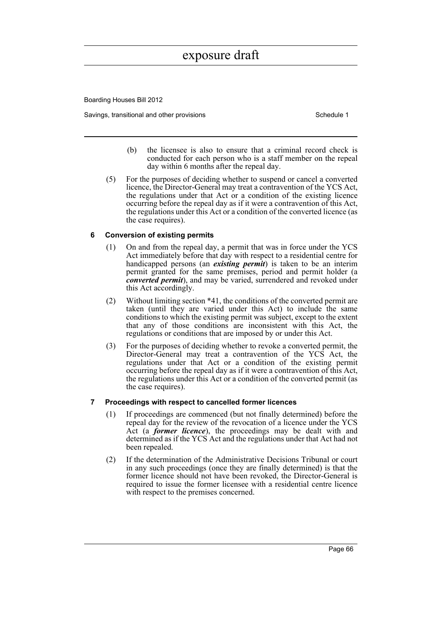Boarding Houses Bill 2012

Savings, transitional and other provisions Schedule 1 and the state of the Schedule 1

- (b) the licensee is also to ensure that a criminal record check is conducted for each person who is a staff member on the repeal day within 6 months after the repeal day.
- (5) For the purposes of deciding whether to suspend or cancel a converted licence, the Director-General may treat a contravention of the YCS Act, the regulations under that Act or a condition of the existing licence occurring before the repeal day as if it were a contravention of this Act, the regulations under this Act or a condition of the converted licence (as the case requires).

### **6 Conversion of existing permits**

- (1) On and from the repeal day, a permit that was in force under the YCS Act immediately before that day with respect to a residential centre for handicapped persons (an *existing permit*) is taken to be an interim permit granted for the same premises, period and permit holder (a *converted permit*), and may be varied, surrendered and revoked under this Act accordingly.
- (2) Without limiting section \*41, the conditions of the converted permit are taken (until they are varied under this Act) to include the same conditions to which the existing permit was subject, except to the extent that any of those conditions are inconsistent with this Act, the regulations or conditions that are imposed by or under this Act.
- (3) For the purposes of deciding whether to revoke a converted permit, the Director-General may treat a contravention of the YCS Act, the regulations under that Act or a condition of the existing permit occurring before the repeal day as if it were a contravention of this Act, the regulations under this Act or a condition of the converted permit (as the case requires).

## **7 Proceedings with respect to cancelled former licences**

- (1) If proceedings are commenced (but not finally determined) before the repeal day for the review of the revocation of a licence under the YCS Act (a *former licence*), the proceedings may be dealt with and determined as if the YCS Act and the regulations under that Act had not been repealed.
- (2) If the determination of the Administrative Decisions Tribunal or court in any such proceedings (once they are finally determined) is that the former licence should not have been revoked, the Director-General is required to issue the former licensee with a residential centre licence with respect to the premises concerned.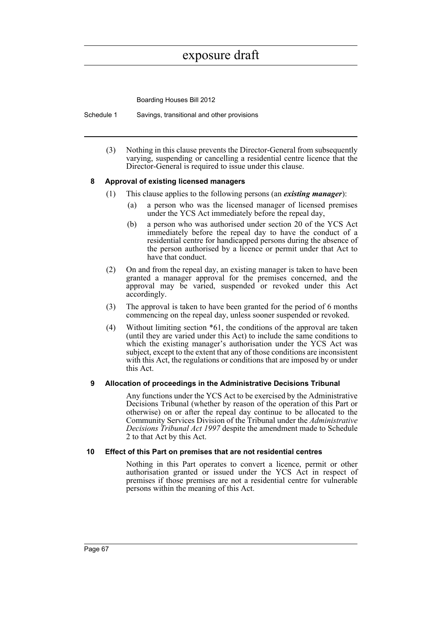Boarding Houses Bill 2012

Schedule 1 Savings, transitional and other provisions

(3) Nothing in this clause prevents the Director-General from subsequently varying, suspending or cancelling a residential centre licence that the Director-General is required to issue under this clause.

## **8 Approval of existing licensed managers**

- (1) This clause applies to the following persons (an *existing manager*):
	- (a) a person who was the licensed manager of licensed premises under the YCS Act immediately before the repeal day,
	- (b) a person who was authorised under section 20 of the YCS Act immediately before the repeal day to have the conduct of a residential centre for handicapped persons during the absence of the person authorised by a licence or permit under that Act to have that conduct.
- (2) On and from the repeal day, an existing manager is taken to have been granted a manager approval for the premises concerned, and the approval may be varied, suspended or revoked under this Act accordingly.
- (3) The approval is taken to have been granted for the period of 6 months commencing on the repeal day, unless sooner suspended or revoked.
- (4) Without limiting section \*61, the conditions of the approval are taken (until they are varied under this Act) to include the same conditions to which the existing manager's authorisation under the YCS Act was subject, except to the extent that any of those conditions are inconsistent with this Act, the regulations or conditions that are imposed by or under this Act.

## **9 Allocation of proceedings in the Administrative Decisions Tribunal**

Any functions under the YCS Act to be exercised by the Administrative Decisions Tribunal (whether by reason of the operation of this Part or otherwise) on or after the repeal day continue to be allocated to the Community Services Division of the Tribunal under the *Administrative Decisions Tribunal Act 1997* despite the amendment made to Schedule 2 to that Act by this Act.

#### **10 Effect of this Part on premises that are not residential centres**

Nothing in this Part operates to convert a licence, permit or other authorisation granted or issued under the YCS Act in respect of premises if those premises are not a residential centre for vulnerable persons within the meaning of this Act.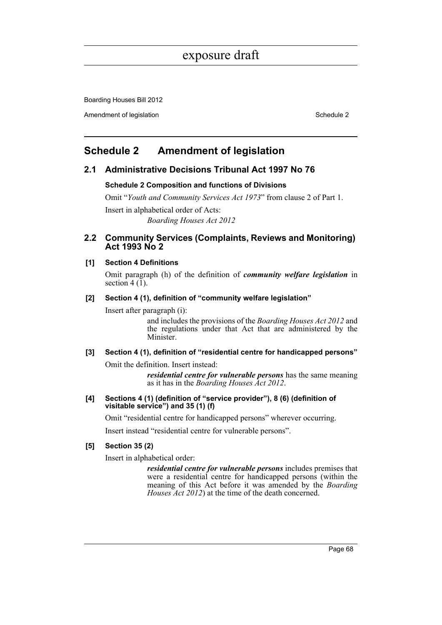# exposure draft

Boarding Houses Bill 2012

Amendment of legislation **Schedule 2** and  $\blacksquare$  Schedule 2

## **Schedule 2 Amendment of legislation**

## **2.1 Administrative Decisions Tribunal Act 1997 No 76**

#### **Schedule 2 Composition and functions of Divisions**

Omit "*Youth and Community Services Act 1973*" from clause 2 of Part 1.

Insert in alphabetical order of Acts: *Boarding Houses Act 2012*

## **2.2 Community Services (Complaints, Reviews and Monitoring) Act 1993 No 2**

## **[1] Section 4 Definitions**

Omit paragraph (h) of the definition of *community welfare legislation* in section  $4(1)$ .

#### **[2] Section 4 (1), definition of "community welfare legislation"**

Insert after paragraph (i):

and includes the provisions of the *Boarding Houses Act 2012* and the regulations under that Act that are administered by the Minister.

## **[3] Section 4 (1), definition of "residential centre for handicapped persons"**

Omit the definition. Insert instead:

*residential centre for vulnerable persons* has the same meaning as it has in the *Boarding Houses Act 2012*.

**[4] Sections 4 (1) (definition of "service provider"), 8 (6) (definition of visitable service") and 35 (1) (f)**

Omit "residential centre for handicapped persons" wherever occurring.

Insert instead "residential centre for vulnerable persons".

## **[5] Section 35 (2)**

Insert in alphabetical order:

*residential centre for vulnerable persons* includes premises that were a residential centre for handicapped persons (within the meaning of this Act before it was amended by the *Boarding Houses Act 2012*) at the time of the death concerned.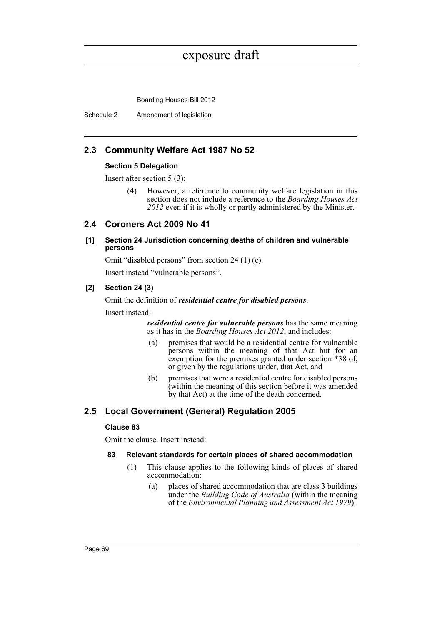## exposure draft

Boarding Houses Bill 2012

Schedule 2 Amendment of legislation

## **2.3 Community Welfare Act 1987 No 52**

#### **Section 5 Delegation**

Insert after section 5 (3):

(4) However, a reference to community welfare legislation in this section does not include a reference to the *Boarding Houses Act 2012* even if it is wholly or partly administered by the Minister.

## **2.4 Coroners Act 2009 No 41**

## **[1] Section 24 Jurisdiction concerning deaths of children and vulnerable persons**

Omit "disabled persons" from section 24 (1) (e).

Insert instead "vulnerable persons".

## **[2] Section 24 (3)**

Omit the definition of *residential centre for disabled persons*.

Insert instead:

*residential centre for vulnerable persons* has the same meaning as it has in the *Boarding Houses Act 2012*, and includes:

- (a) premises that would be a residential centre for vulnerable persons within the meaning of that Act but for an exemption for the premises granted under section \*38 of, or given by the regulations under, that Act, and
- (b) premises that were a residential centre for disabled persons (within the meaning of this section before it was amended by that Act) at the time of the death concerned.

## **2.5 Local Government (General) Regulation 2005**

## **Clause 83**

Omit the clause. Insert instead:

## **83 Relevant standards for certain places of shared accommodation**

- (1) This clause applies to the following kinds of places of shared accommodation:
	- (a) places of shared accommodation that are class 3 buildings under the *Building Code of Australia* (within the meaning of the *Environmental Planning and Assessment Act 1979*),